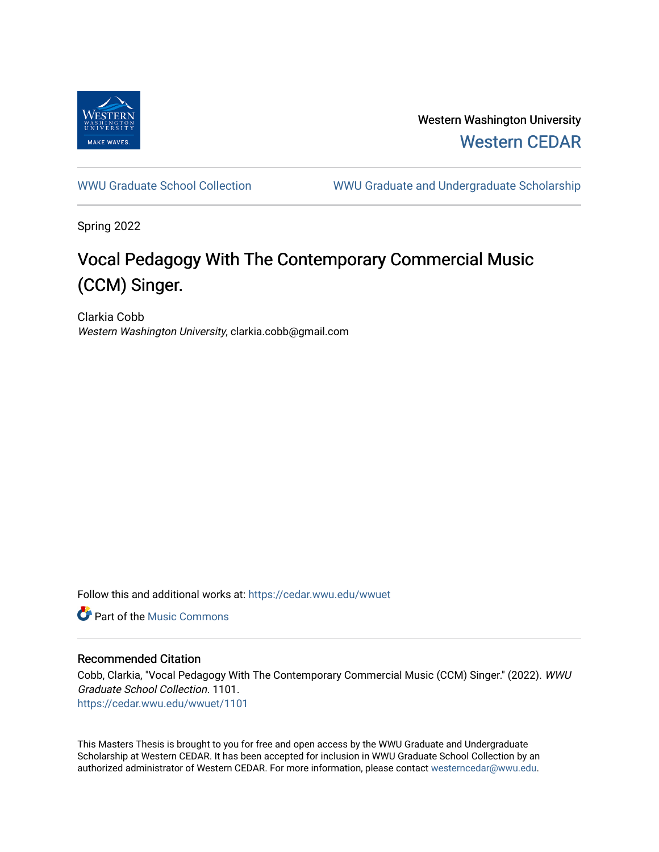

Western Washington University [Western CEDAR](https://cedar.wwu.edu/) 

[WWU Graduate School Collection](https://cedar.wwu.edu/wwuet) WWU Graduate and Undergraduate Scholarship

Spring 2022

# Vocal Pedagogy With The Contemporary Commercial Music (CCM) Singer.

Clarkia Cobb Western Washington University, clarkia.cobb@gmail.com

Follow this and additional works at: [https://cedar.wwu.edu/wwuet](https://cedar.wwu.edu/wwuet?utm_source=cedar.wwu.edu%2Fwwuet%2F1101&utm_medium=PDF&utm_campaign=PDFCoverPages)

**C** Part of the Music Commons

### Recommended Citation

Cobb, Clarkia, "Vocal Pedagogy With The Contemporary Commercial Music (CCM) Singer." (2022). WWU Graduate School Collection. 1101. [https://cedar.wwu.edu/wwuet/1101](https://cedar.wwu.edu/wwuet/1101?utm_source=cedar.wwu.edu%2Fwwuet%2F1101&utm_medium=PDF&utm_campaign=PDFCoverPages) 

This Masters Thesis is brought to you for free and open access by the WWU Graduate and Undergraduate Scholarship at Western CEDAR. It has been accepted for inclusion in WWU Graduate School Collection by an authorized administrator of Western CEDAR. For more information, please contact [westerncedar@wwu.edu.](mailto:westerncedar@wwu.edu)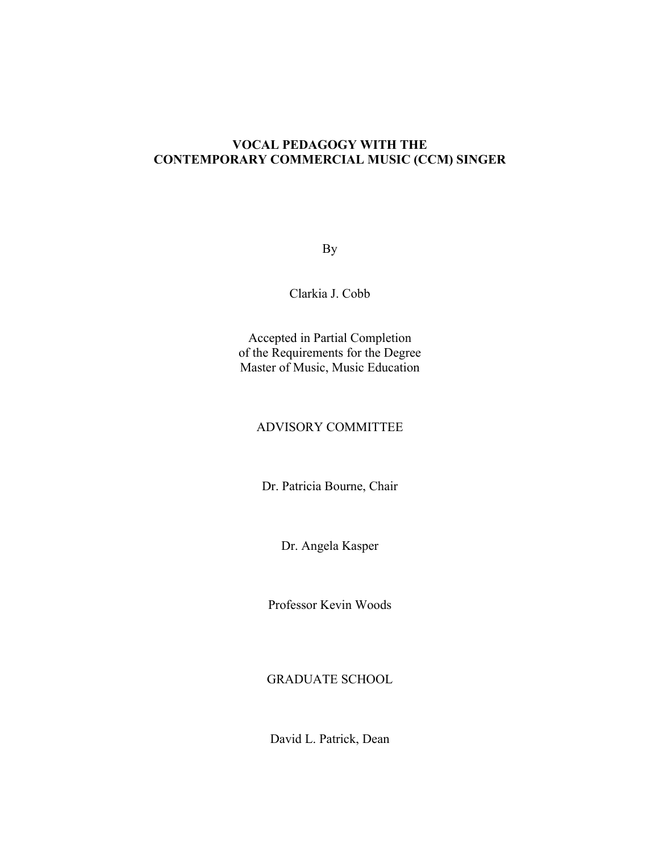## **VOCAL PEDAGOGY WITH THE CONTEMPORARY COMMERCIAL MUSIC (CCM) SINGER**

By

Clarkia J. Cobb

Accepted in Partial Completion of the Requirements for the Degree Master of Music, Music Education

## ADVISORY COMMITTEE

Dr. Patricia Bourne, Chair

Dr. Angela Kasper

Professor Kevin Woods

GRADUATE SCHOOL

David L. Patrick, Dean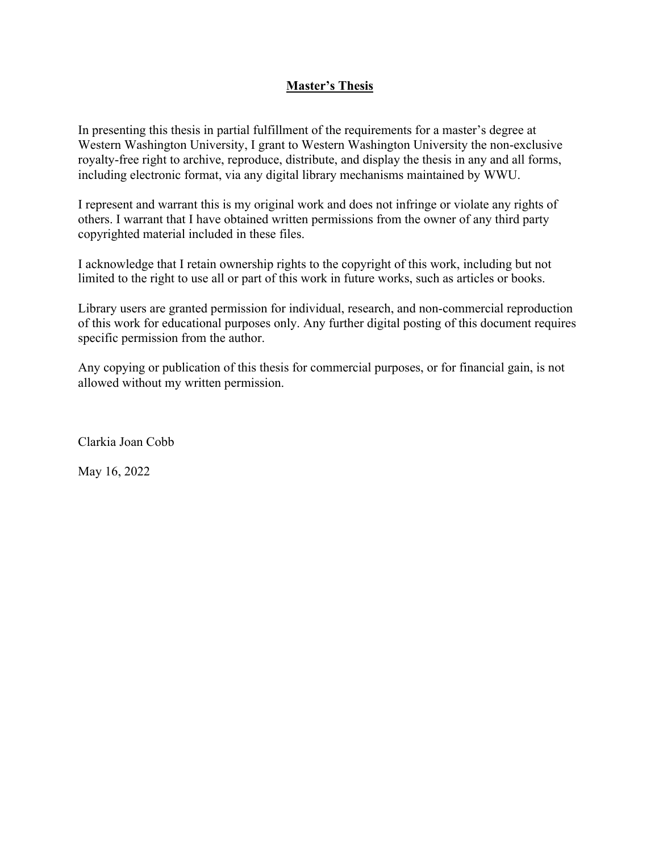## **Master's Thesis**

In presenting this thesis in partial fulfillment of the requirements for a master's degree at Western Washington University, I grant to Western Washington University the non-exclusive royalty-free right to archive, reproduce, distribute, and display the thesis in any and all forms, including electronic format, via any digital library mechanisms maintained by WWU.

I represent and warrant this is my original work and does not infringe or violate any rights of others. I warrant that I have obtained written permissions from the owner of any third party copyrighted material included in these files.

I acknowledge that I retain ownership rights to the copyright of this work, including but not limited to the right to use all or part of this work in future works, such as articles or books.

Library users are granted permission for individual, research, and non-commercial reproduction of this work for educational purposes only. Any further digital posting of this document requires specific permission from the author.

Any copying or publication of this thesis for commercial purposes, or for financial gain, is not allowed without my written permission.

Clarkia Joan Cobb

May 16, 2022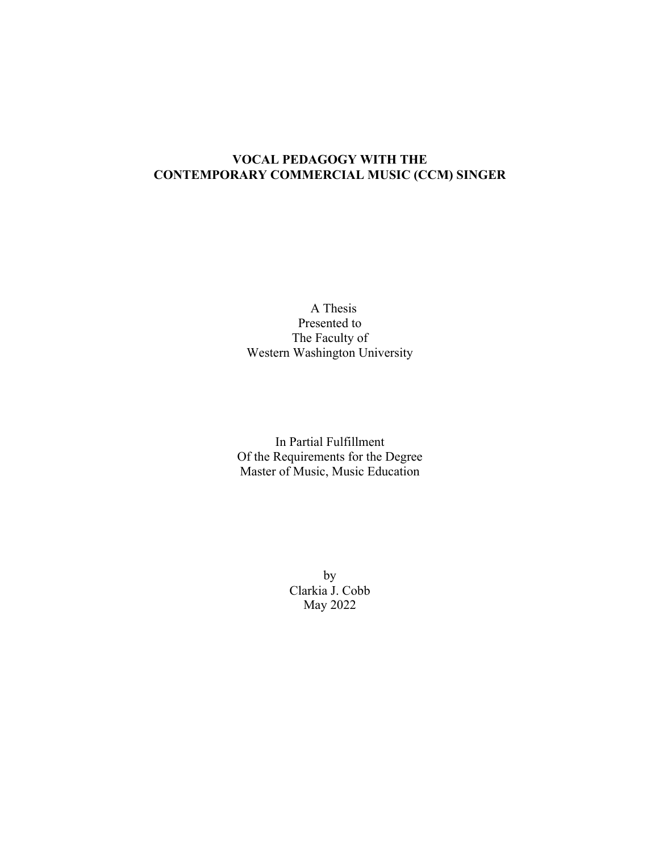## **VOCAL PEDAGOGY WITH THE CONTEMPORARY COMMERCIAL MUSIC (CCM) SINGER**

A Thesis Presented to The Faculty of Western Washington University

In Partial Fulfillment Of the Requirements for the Degree Master of Music, Music Education

> by Clarkia J. Cobb May 2022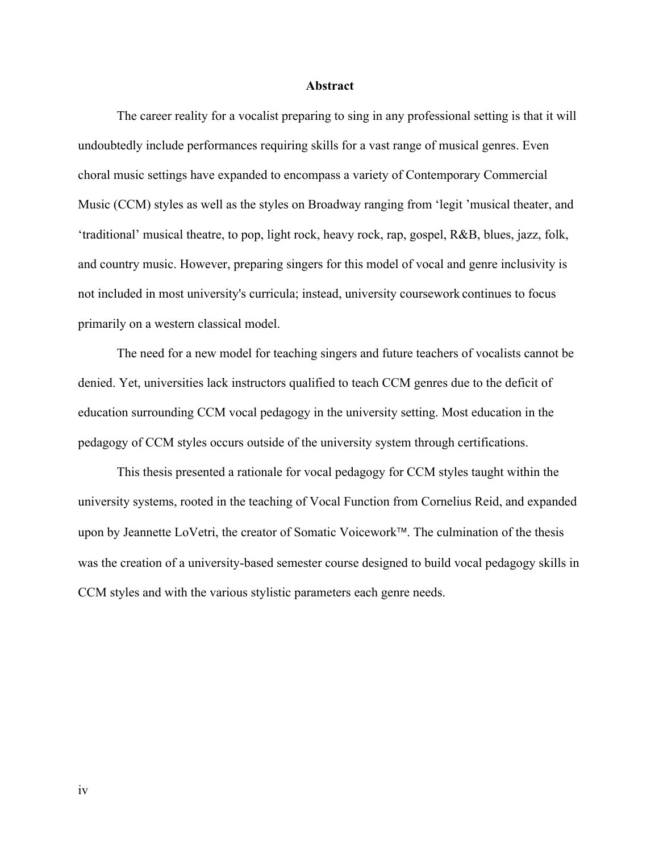#### **Abstract**

The career reality for a vocalist preparing to sing in any professional setting is that it will undoubtedly include performances requiring skills for a vast range of musical genres. Even choral music settings have expanded to encompass a variety of Contemporary Commercial Music (CCM) styles as well as the styles on Broadway ranging from 'legit 'musical theater, and 'traditional' musical theatre, to pop, light rock, heavy rock, rap, gospel, R&B, blues, jazz, folk, and country music. However, preparing singers for this model of vocal and genre inclusivity is not included in most university's curricula; instead, university coursework continues to focus primarily on a western classical model.

The need for a new model for teaching singers and future teachers of vocalists cannot be denied. Yet, universities lack instructors qualified to teach CCM genres due to the deficit of education surrounding CCM vocal pedagogy in the university setting. Most education in the pedagogy of CCM styles occurs outside of the university system through certifications.

This thesis presented a rationale for vocal pedagogy for CCM styles taught within the university systems, rooted in the teaching of Vocal Function from Cornelius Reid, and expanded upon by Jeannette LoVetri, the creator of Somatic Voicework™. The culmination of the thesis was the creation of a university-based semester course designed to build vocal pedagogy skills in CCM styles and with the various stylistic parameters each genre needs.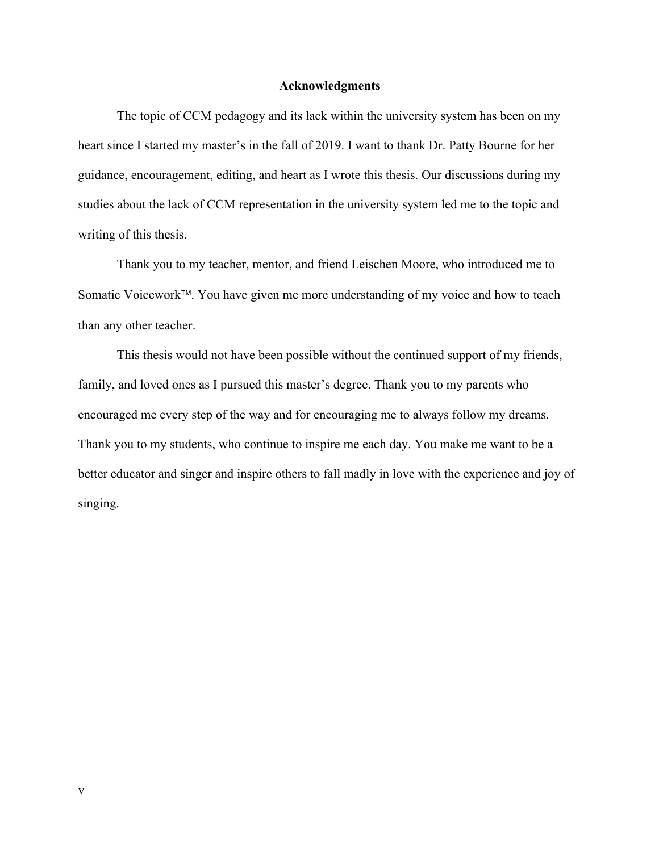### **Acknowledgments**

The topic of CCM pedagogy and its lack within the university system has been on my heart since I started my master's in the fall of 2019. I want to thank Dr. Patty Bourne for her guidance, encouragement, editing, and heart as I wrote this thesis. Our discussions during my studies about the lack of CCM representation in the university system led me to the topic and writing of this thesis.

Thank you to my teacher, mentor, and friend Leischen Moore, who introduced me to Somatic Voicework™. You have given me more understanding of my voice and how to teach than any other teacher.

This thesis would not have been possible without the continued support of my friends, family, and loved ones as I pursued this master's degree. Thank you to my parents who encouraged me every step of the way and for encouraging me to always follow my dreams. Thank you to my students, who continue to inspire me each day. You make me want to be a better educator and singer and inspire others to fall madly in love with the experience and joy of singing.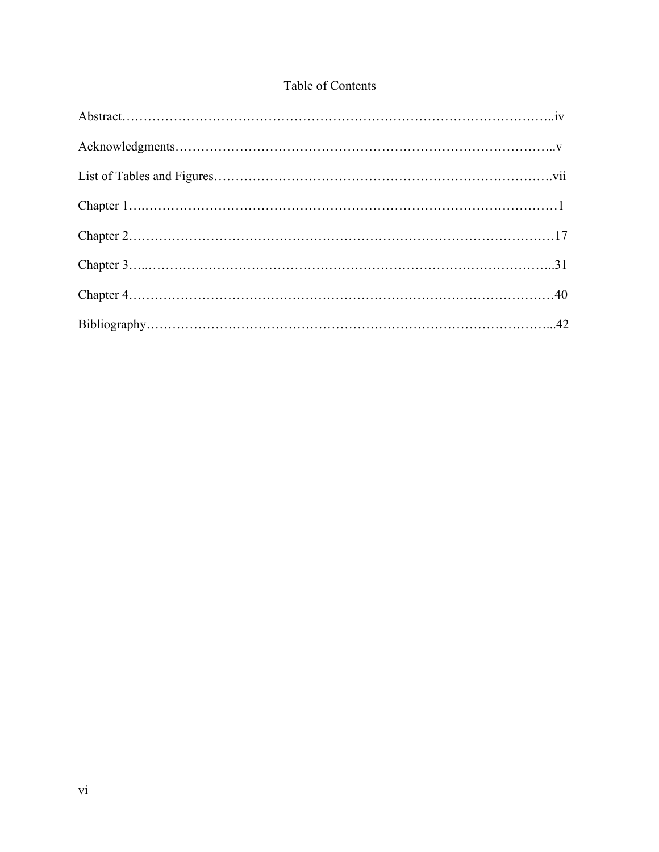## Table of Contents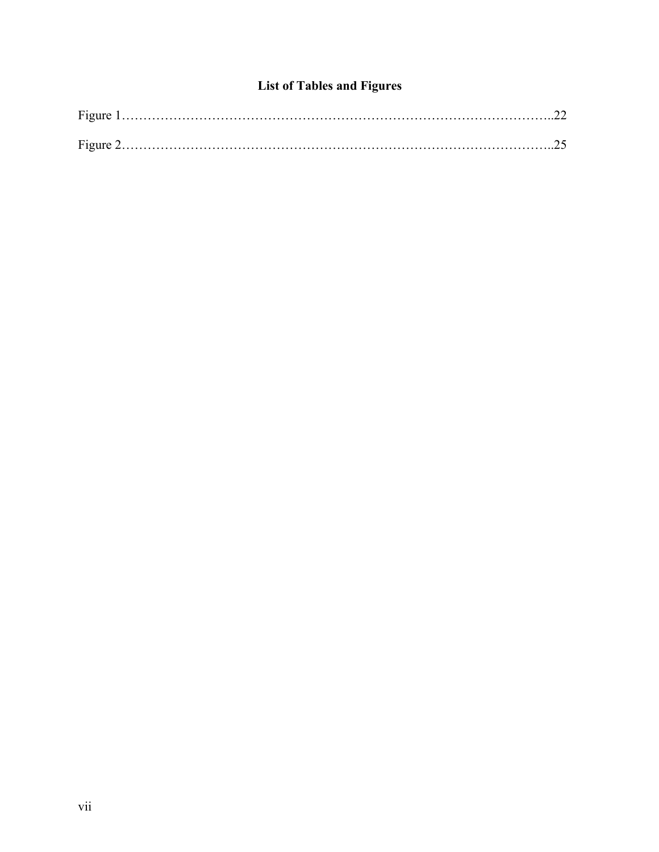## **List of Tables and Figures**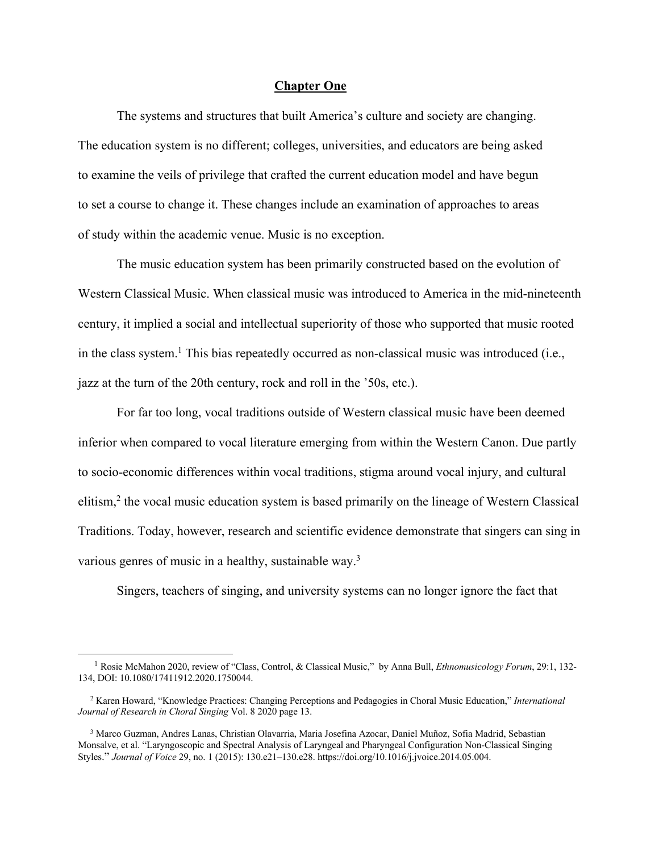#### **Chapter One**

The systems and structures that built America's culture and society are changing. The education system is no different; colleges, universities, and educators are being asked to examine the veils of privilege that crafted the current education model and have begun to set a course to change it. These changes include an examination of approaches to areas of study within the academic venue. Music is no exception.

The music education system has been primarily constructed based on the evolution of Western Classical Music. When classical music was introduced to America in the mid-nineteenth century, it implied a social and intellectual superiority of those who supported that music rooted in the class system. <sup>1</sup> This bias repeatedly occurred as non-classical music was introduced (i.e., jazz at the turn of the 20th century, rock and roll in the '50s, etc.).

For far too long, vocal traditions outside of Western classical music have been deemed inferior when compared to vocal literature emerging from within the Western Canon. Due partly to socio-economic differences within vocal traditions, stigma around vocal injury, and cultural elitism, <sup>2</sup> the vocal music education system is based primarily on the lineage of Western Classical Traditions. Today, however, research and scientific evidence demonstrate that singers can sing in various genres of music in a healthy, sustainable way.<sup>3</sup>

Singers, teachers of singing, and university systems can no longer ignore the fact that

 <sup>1</sup> Rosie McMahon 2020, review of "Class, Control, & Classical Music," by Anna Bull, *Ethnomusicology Forum*, 29:1, 132- 134, DOI: 10.1080/17411912.2020.1750044.

 <sup>2</sup> Karen Howard, "Knowledge Practices: Changing Perceptions and Pedagogies in Choral Music Education," *International Journal of Research in Choral Singing* Vol. 8 2020 page 13.

 <sup>3</sup> Marco Guzman, Andres Lanas, Christian Olavarria, Maria Josefina Azocar, Daniel Muñoz, Sofia Madrid, Sebastian Monsalve, et al. "Laryngoscopic and Spectral Analysis of Laryngeal and Pharyngeal Configuration Non-Classical Singing Styles." *Journal of Voice* 29, no. 1 (2015): 130.e21–130.e28. https://doi.org/10.1016/j.jvoice.2014.05.004.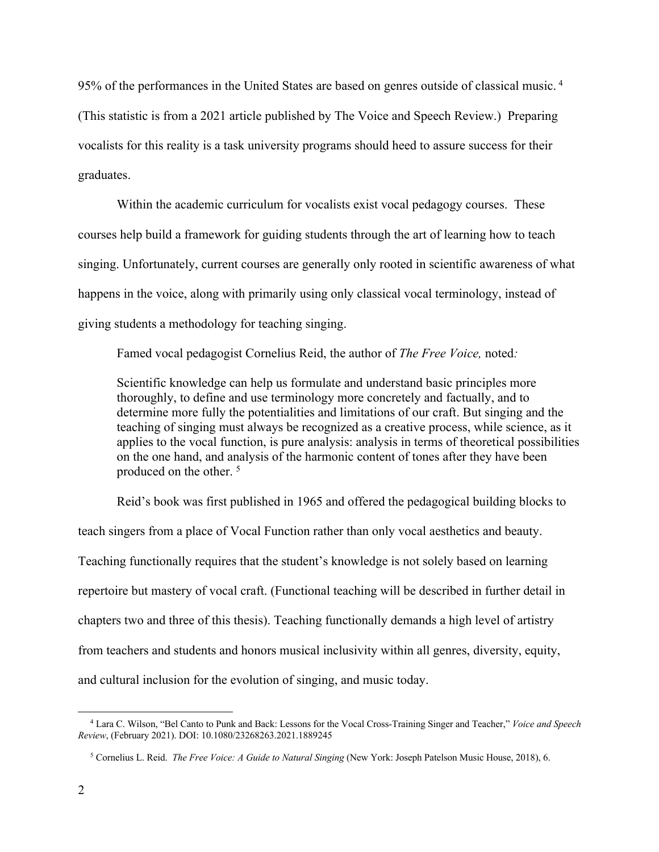95% of the performances in the United States are based on genres outside of classical music. <sup>4</sup> (This statistic is from a 2021 article published by The Voice and Speech Review.) Preparing vocalists for this reality is a task university programs should heed to assure success for their graduates.

Within the academic curriculum for vocalists exist vocal pedagogy courses. These courses help build a framework for guiding students through the art of learning how to teach singing. Unfortunately, current courses are generally only rooted in scientific awareness of what happens in the voice, along with primarily using only classical vocal terminology, instead of giving students a methodology for teaching singing.

Famed vocal pedagogist Cornelius Reid, the author of *The Free Voice,* noted*:*

Scientific knowledge can help us formulate and understand basic principles more thoroughly, to define and use terminology more concretely and factually, and to determine more fully the potentialities and limitations of our craft. But singing and the teaching of singing must always be recognized as a creative process, while science, as it applies to the vocal function, is pure analysis: analysis in terms of theoretical possibilities on the one hand, and analysis of the harmonic content of tones after they have been produced on the other. <sup>5</sup>

Reid's book was first published in 1965 and offered the pedagogical building blocks to teach singers from a place of Vocal Function rather than only vocal aesthetics and beauty. Teaching functionally requires that the student's knowledge is not solely based on learning repertoire but mastery of vocal craft. (Functional teaching will be described in further detail in chapters two and three of this thesis). Teaching functionally demands a high level of artistry from teachers and students and honors musical inclusivity within all genres, diversity, equity, and cultural inclusion for the evolution of singing, and music today.

 <sup>4</sup> Lara C. Wilson, "Bel Canto to Punk and Back: Lessons for the Vocal Cross-Training Singer and Teacher," *Voice and Speech Review*, (February 2021). DOI: 10.1080/23268263.2021.1889245

 <sup>5</sup> Cornelius L. Reid. *The Free Voice: A Guide to Natural Singing* (New York: Joseph Patelson Music House, 2018), 6.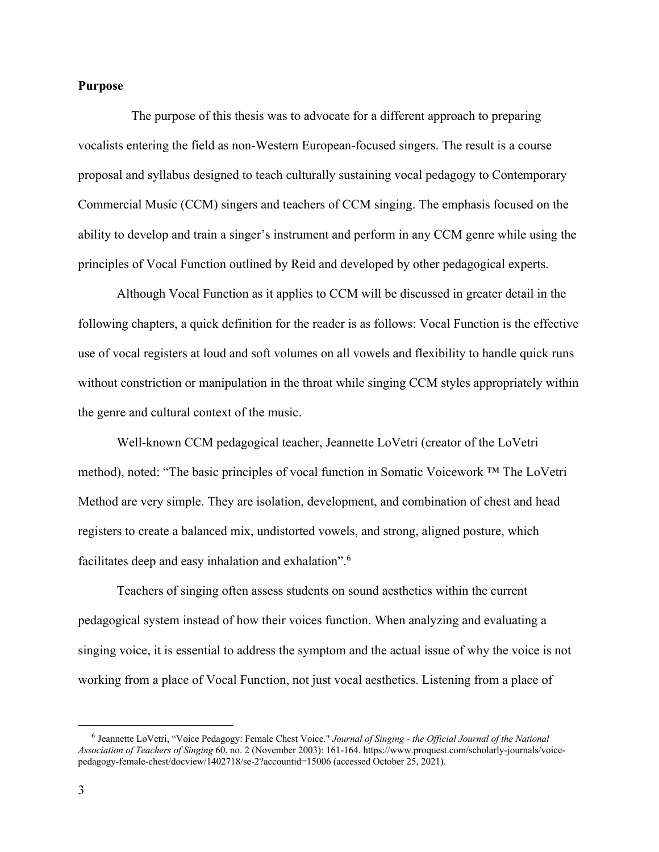### **Purpose**

 The purpose of this thesis was to advocate for a different approach to preparing vocalists entering the field as non-Western European-focused singers. The result is a course proposal and syllabus designed to teach culturally sustaining vocal pedagogy to Contemporary Commercial Music (CCM) singers and teachers of CCM singing. The emphasis focused on the ability to develop and train a singer's instrument and perform in any CCM genre while using the principles of Vocal Function outlined by Reid and developed by other pedagogical experts.

Although Vocal Function as it applies to CCM will be discussed in greater detail in the following chapters, a quick definition for the reader is as follows: Vocal Function is the effective use of vocal registers at loud and soft volumes on all vowels and flexibility to handle quick runs without constriction or manipulation in the throat while singing CCM styles appropriately within the genre and cultural context of the music.

Well-known CCM pedagogical teacher, Jeannette LoVetri (creator of the LoVetri method), noted: "The basic principles of vocal function in Somatic Voicework ™ The LoVetri Method are very simple. They are isolation, development, and combination of chest and head registers to create a balanced mix, undistorted vowels, and strong, aligned posture, which facilitates deep and easy inhalation and exhalation".<sup>6</sup>

Teachers of singing often assess students on sound aesthetics within the current pedagogical system instead of how their voices function. When analyzing and evaluating a singing voice, it is essential to address the symptom and the actual issue of why the voice is not working from a place of Vocal Function, not just vocal aesthetics. Listening from a place of

 <sup>6</sup> Jeannette LoVetri, "Voice Pedagogy: Female Chest Voice." *Journal of Singing - the Official Journal of the National Association of Teachers of Singing* 60, no. 2 (November 2003): 161-164. https://www.proquest.com/scholarly-journals/voicepedagogy-female-chest/docview/1402718/se-2?accountid=15006 (accessed October 25, 2021).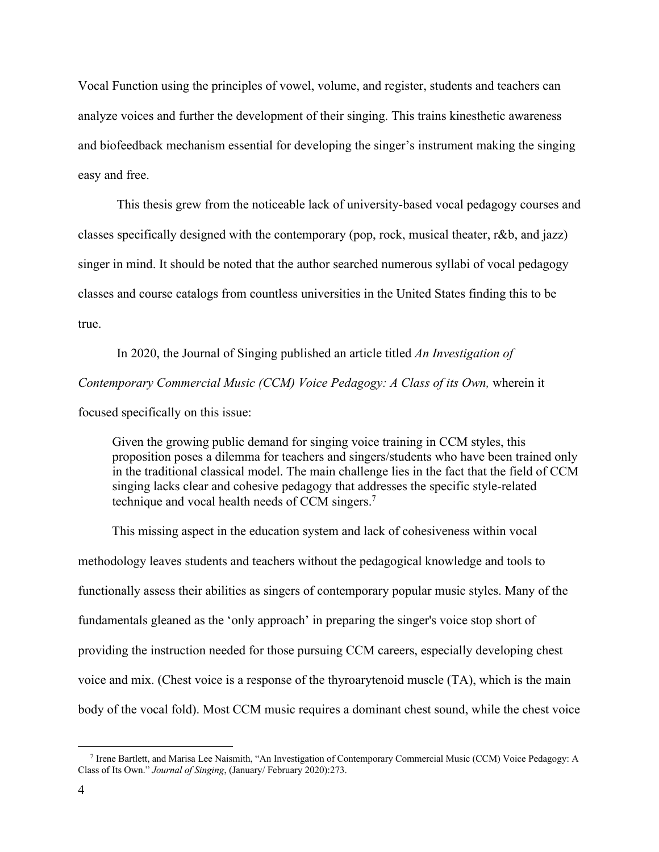Vocal Function using the principles of vowel, volume, and register, students and teachers can analyze voices and further the development of their singing. This trains kinesthetic awareness and biofeedback mechanism essential for developing the singer's instrument making the singing easy and free.

This thesis grew from the noticeable lack of university-based vocal pedagogy courses and classes specifically designed with the contemporary (pop, rock, musical theater, r&b, and jazz) singer in mind. It should be noted that the author searched numerous syllabi of vocal pedagogy classes and course catalogs from countless universities in the United States finding this to be true.

In 2020, the Journal of Singing published an article titled *An Investigation of Contemporary Commercial Music (CCM) Voice Pedagogy: A Class of its Own, wherein it* focused specifically on this issue:

Given the growing public demand for singing voice training in CCM styles, this proposition poses a dilemma for teachers and singers/students who have been trained only in the traditional classical model. The main challenge lies in the fact that the field of CCM singing lacks clear and cohesive pedagogy that addresses the specific style-related technique and vocal health needs of CCM singers.7

This missing aspect in the education system and lack of cohesiveness within vocal methodology leaves students and teachers without the pedagogical knowledge and tools to functionally assess their abilities as singers of contemporary popular music styles. Many of the fundamentals gleaned as the 'only approach' in preparing the singer's voice stop short of providing the instruction needed for those pursuing CCM careers, especially developing chest voice and mix. (Chest voice is a response of the thyroarytenoid muscle (TA), which is the main body of the vocal fold). Most CCM music requires a dominant chest sound, while the chest voice

 <sup>7</sup> Irene Bartlett, and Marisa Lee Naismith, "An Investigation of Contemporary Commercial Music (CCM) Voice Pedagogy: A Class of Its Own." *Journal of Singing*, (January/ February 2020):273.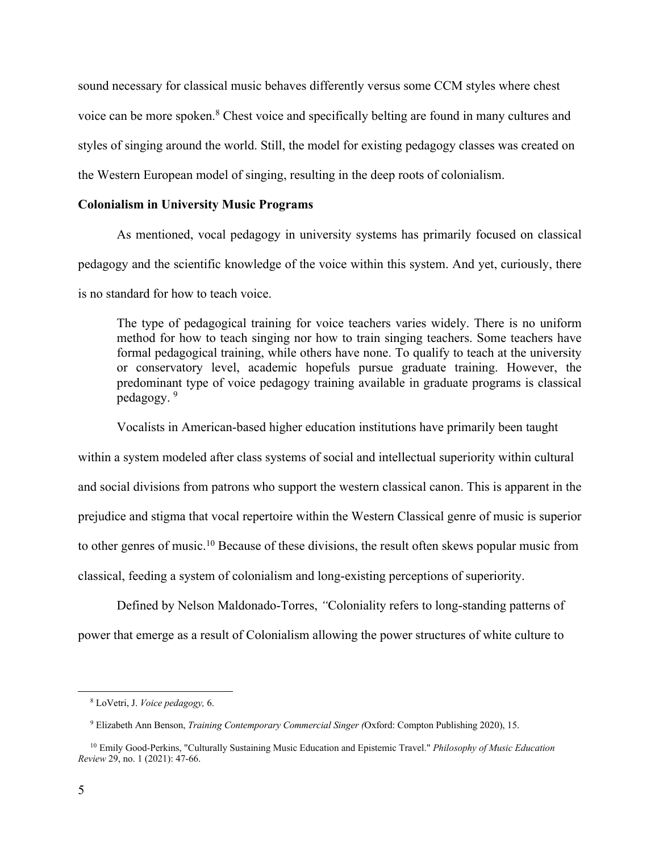sound necessary for classical music behaves differently versus some CCM styles where chest voice can be more spoken.<sup>8</sup> Chest voice and specifically belting are found in many cultures and styles of singing around the world. Still, the model for existing pedagogy classes was created on the Western European model of singing, resulting in the deep roots of colonialism.

### **Colonialism in University Music Programs**

As mentioned, vocal pedagogy in university systems has primarily focused on classical pedagogy and the scientific knowledge of the voice within this system. And yet, curiously, there is no standard for how to teach voice.

The type of pedagogical training for voice teachers varies widely. There is no uniform method for how to teach singing nor how to train singing teachers. Some teachers have formal pedagogical training, while others have none. To qualify to teach at the university or conservatory level, academic hopefuls pursue graduate training. However, the predominant type of voice pedagogy training available in graduate programs is classical pedagogy. 9

Vocalists in American-based higher education institutions have primarily been taught

within a system modeled after class systems of social and intellectual superiority within cultural and social divisions from patrons who support the western classical canon. This is apparent in the prejudice and stigma that vocal repertoire within the Western Classical genre of music is superior to other genres of music.<sup>10</sup> Because of these divisions, the result often skews popular music from classical, feeding a system of colonialism and long-existing perceptions of superiority.

Defined by Nelson Maldonado-Torres, *"*Coloniality refers to long-standing patterns of power that emerge as a result of Colonialism allowing the power structures of white culture to

 <sup>8</sup> LoVetri, J. *Voice pedagogy,* 6.

 <sup>9</sup> Elizabeth Ann Benson, *Training Contemporary Commercial Singer (*Oxford: Compton Publishing 2020), 15.

 <sup>10</sup> Emily Good-Perkins, "Culturally Sustaining Music Education and Epistemic Travel." *Philosophy of Music Education Review* 29, no. 1 (2021): 47-66.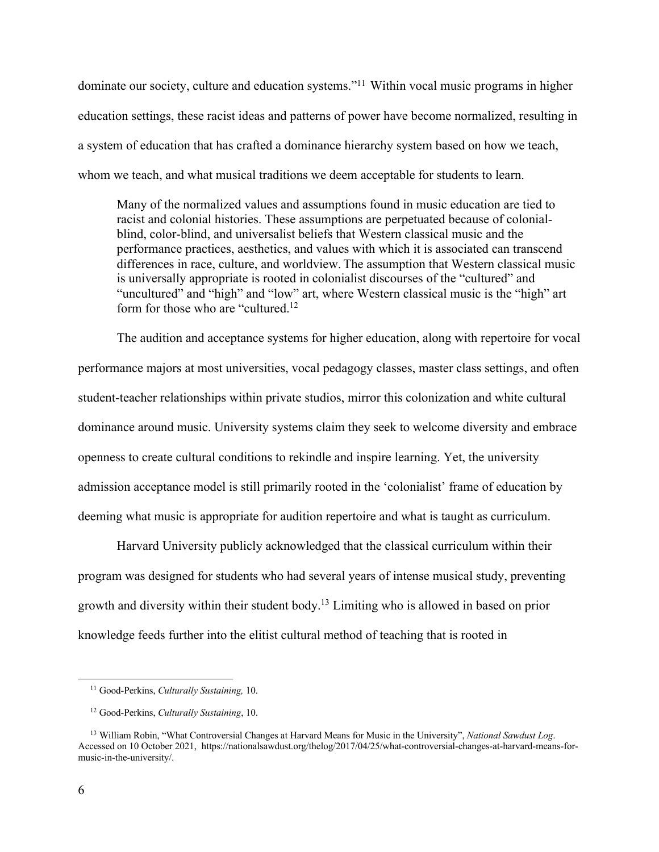dominate our society, culture and education systems."<sup>11</sup> Within vocal music programs in higher education settings, these racist ideas and patterns of power have become normalized, resulting in a system of education that has crafted a dominance hierarchy system based on how we teach, whom we teach, and what musical traditions we deem acceptable for students to learn.

Many of the normalized values and assumptions found in music education are tied to racist and colonial histories. These assumptions are perpetuated because of colonialblind, color-blind, and universalist beliefs that Western classical music and the performance practices, aesthetics, and values with which it is associated can transcend differences in race, culture, and worldview. The assumption that Western classical music is universally appropriate is rooted in colonialist discourses of the "cultured" and "uncultured" and "high" and "low" art, where Western classical music is the "high" art form for those who are "cultured.<sup>12</sup>

The audition and acceptance systems for higher education, along with repertoire for vocal performance majors at most universities, vocal pedagogy classes, master class settings, and often student-teacher relationships within private studios, mirror this colonization and white cultural dominance around music. University systems claim they seek to welcome diversity and embrace openness to create cultural conditions to rekindle and inspire learning. Yet, the university admission acceptance model is still primarily rooted in the 'colonialist' frame of education by deeming what music is appropriate for audition repertoire and what is taught as curriculum.

Harvard University publicly acknowledged that the classical curriculum within their program was designed for students who had several years of intense musical study, preventing growth and diversity within their student body.13 Limiting who is allowed in based on prior knowledge feeds further into the elitist cultural method of teaching that is rooted in

 <sup>11</sup> Good-Perkins, *Culturally Sustaining,* 10.

 <sup>12</sup> Good-Perkins, *Culturally Sustaining*, 10.

 <sup>13</sup> William Robin, "What Controversial Changes at Harvard Means for Music in the University", *National Sawdust Log*. Accessed on 10 October 2021, https://nationalsawdust.org/thelog/2017/04/25/what-controversial-changes-at-harvard-means-formusic-in-the-university/.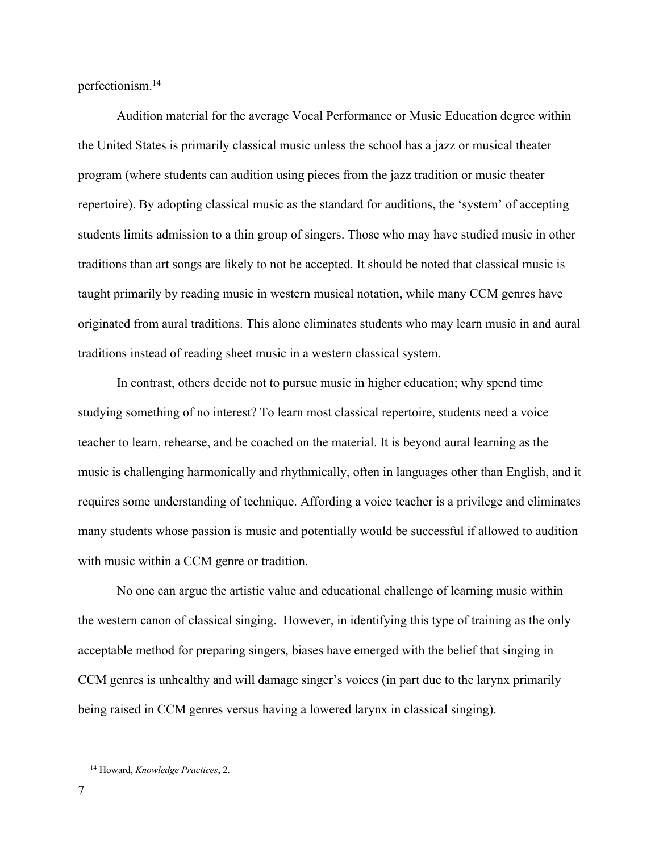perfectionism.14

Audition material for the average Vocal Performance or Music Education degree within the United States is primarily classical music unless the school has a jazz or musical theater program (where students can audition using pieces from the jazz tradition or music theater repertoire). By adopting classical music as the standard for auditions, the 'system' of accepting students limits admission to a thin group of singers. Those who may have studied music in other traditions than art songs are likely to not be accepted. It should be noted that classical music is taught primarily by reading music in western musical notation, while many CCM genres have originated from aural traditions. This alone eliminates students who may learn music in and aural traditions instead of reading sheet music in a western classical system.

In contrast, others decide not to pursue music in higher education; why spend time studying something of no interest? To learn most classical repertoire, students need a voice teacher to learn, rehearse, and be coached on the material. It is beyond aural learning as the music is challenging harmonically and rhythmically, often in languages other than English, and it requires some understanding of technique. Affording a voice teacher is a privilege and eliminates many students whose passion is music and potentially would be successful if allowed to audition with music within a CCM genre or tradition.

No one can argue the artistic value and educational challenge of learning music within the western canon of classical singing. However, in identifying this type of training as the only acceptable method for preparing singers, biases have emerged with the belief that singing in CCM genres is unhealthy and will damage singer's voices (in part due to the larynx primarily being raised in CCM genres versus having a lowered larynx in classical singing).

 <sup>14</sup> Howard, *Knowledge Practices*, 2.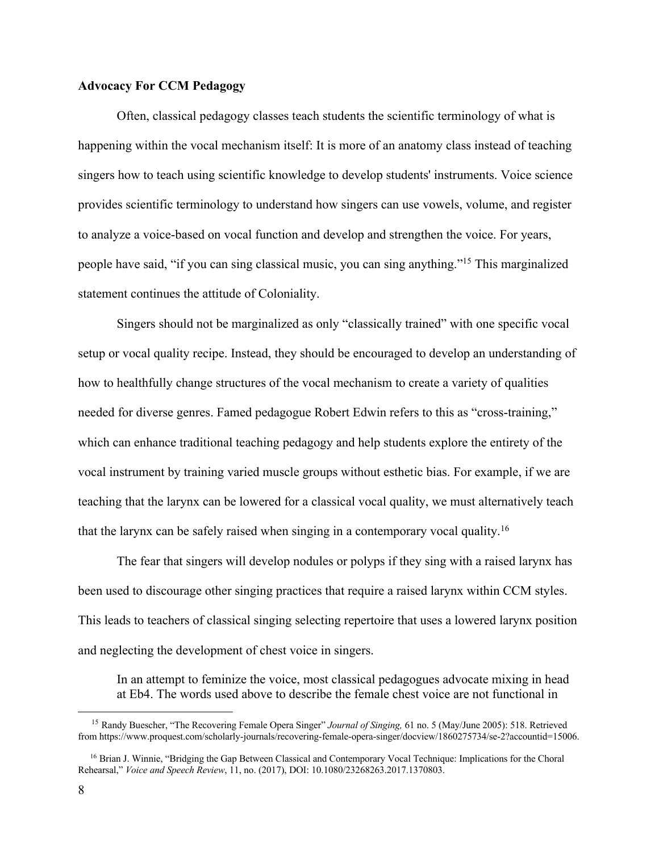### **Advocacy For CCM Pedagogy**

Often, classical pedagogy classes teach students the scientific terminology of what is happening within the vocal mechanism itself: It is more of an anatomy class instead of teaching singers how to teach using scientific knowledge to develop students' instruments. Voice science provides scientific terminology to understand how singers can use vowels, volume, and register to analyze a voice-based on vocal function and develop and strengthen the voice. For years, people have said, "if you can sing classical music, you can sing anything."15 This marginalized statement continues the attitude of Coloniality.

Singers should not be marginalized as only "classically trained" with one specific vocal setup or vocal quality recipe. Instead, they should be encouraged to develop an understanding of how to healthfully change structures of the vocal mechanism to create a variety of qualities needed for diverse genres. Famed pedagogue Robert Edwin refers to this as "cross-training," which can enhance traditional teaching pedagogy and help students explore the entirety of the vocal instrument by training varied muscle groups without esthetic bias. For example, if we are teaching that the larynx can be lowered for a classical vocal quality, we must alternatively teach that the larynx can be safely raised when singing in a contemporary vocal quality.16

The fear that singers will develop nodules or polyps if they sing with a raised larynx has been used to discourage other singing practices that require a raised larynx within CCM styles. This leads to teachers of classical singing selecting repertoire that uses a lowered larynx position and neglecting the development of chest voice in singers.

In an attempt to feminize the voice, most classical pedagogues advocate mixing in head at Eb4. The words used above to describe the female chest voice are not functional in

 <sup>15</sup> Randy Buescher, "The Recovering Female Opera Singer" *Journal of Singing,* 61 no. 5 (May/June 2005): 518. Retrieved from https://www.proquest.com/scholarly-journals/recovering-female-opera-singer/docview/1860275734/se-2?accountid=15006.

<sup>&</sup>lt;sup>16</sup> Brian J. Winnie, "Bridging the Gap Between Classical and Contemporary Vocal Technique: Implications for the Choral Rehearsal," *Voice and Speech Review*, 11, no. (2017), DOI: 10.1080/23268263.2017.1370803.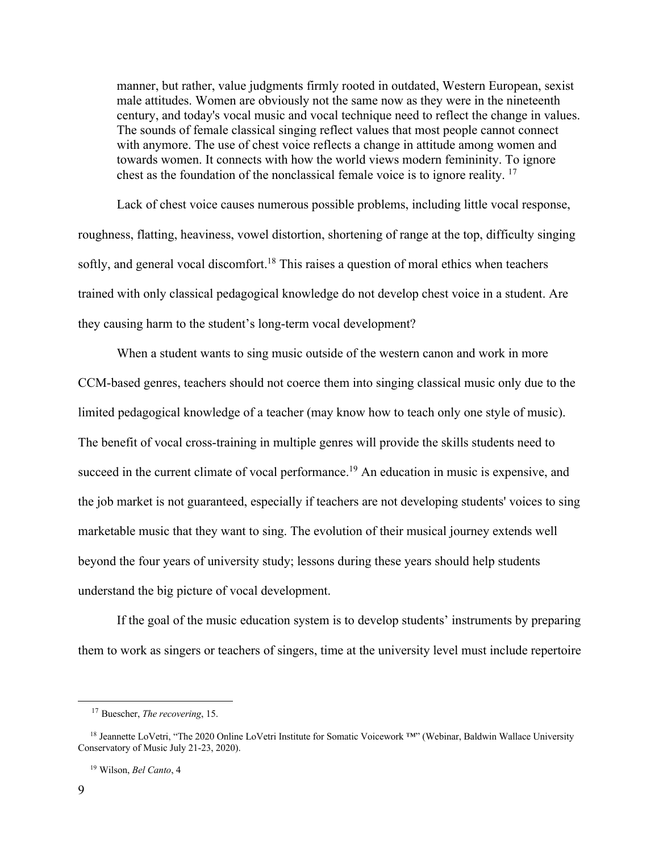manner, but rather, value judgments firmly rooted in outdated, Western European, sexist male attitudes. Women are obviously not the same now as they were in the nineteenth century, and today's vocal music and vocal technique need to reflect the change in values. The sounds of female classical singing reflect values that most people cannot connect with anymore. The use of chest voice reflects a change in attitude among women and towards women. It connects with how the world views modern femininity. To ignore chest as the foundation of the nonclassical female voice is to ignore reality.<sup>17</sup>

Lack of chest voice causes numerous possible problems, including little vocal response, roughness, flatting, heaviness, vowel distortion, shortening of range at the top, difficulty singing softly, and general vocal discomfort.<sup>18</sup> This raises a question of moral ethics when teachers trained with only classical pedagogical knowledge do not develop chest voice in a student. Are they causing harm to the student's long-term vocal development?

 When a student wants to sing music outside of the western canon and work in more CCM-based genres, teachers should not coerce them into singing classical music only due to the limited pedagogical knowledge of a teacher (may know how to teach only one style of music). The benefit of vocal cross-training in multiple genres will provide the skills students need to succeed in the current climate of vocal performance.<sup>19</sup> An education in music is expensive, and the job market is not guaranteed, especially if teachers are not developing students' voices to sing marketable music that they want to sing. The evolution of their musical journey extends well beyond the four years of university study; lessons during these years should help students understand the big picture of vocal development.

If the goal of the music education system is to develop students' instruments by preparing them to work as singers or teachers of singers, time at the university level must include repertoire

 <sup>17</sup> Buescher, *The recovering*, 15.

 <sup>18</sup> Jeannette LoVetri, "The 2020 Online LoVetri Institute for Somatic Voicework ™" (Webinar, Baldwin Wallace University Conservatory of Music July 21-23, 2020).

 <sup>19</sup> Wilson, *Bel Canto*, 4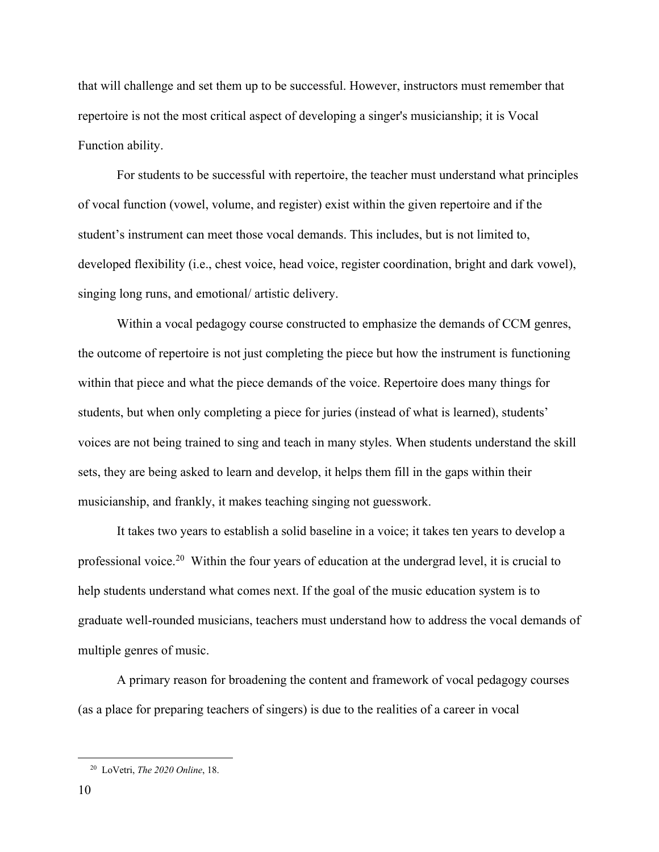that will challenge and set them up to be successful. However, instructors must remember that repertoire is not the most critical aspect of developing a singer's musicianship; it is Vocal Function ability.

For students to be successful with repertoire, the teacher must understand what principles of vocal function (vowel, volume, and register) exist within the given repertoire and if the student's instrument can meet those vocal demands. This includes, but is not limited to, developed flexibility (i.e., chest voice, head voice, register coordination, bright and dark vowel), singing long runs, and emotional/ artistic delivery.

Within a vocal pedagogy course constructed to emphasize the demands of CCM genres, the outcome of repertoire is not just completing the piece but how the instrument is functioning within that piece and what the piece demands of the voice. Repertoire does many things for students, but when only completing a piece for juries (instead of what is learned), students' voices are not being trained to sing and teach in many styles. When students understand the skill sets, they are being asked to learn and develop, it helps them fill in the gaps within their musicianship, and frankly, it makes teaching singing not guesswork.

It takes two years to establish a solid baseline in a voice; it takes ten years to develop a professional voice.<sup>20</sup> Within the four years of education at the undergrad level, it is crucial to help students understand what comes next. If the goal of the music education system is to graduate well-rounded musicians, teachers must understand how to address the vocal demands of multiple genres of music.

A primary reason for broadening the content and framework of vocal pedagogy courses (as a place for preparing teachers of singers) is due to the realities of a career in vocal

 <sup>20</sup> LoVetri, *The 2020 Online*, 18.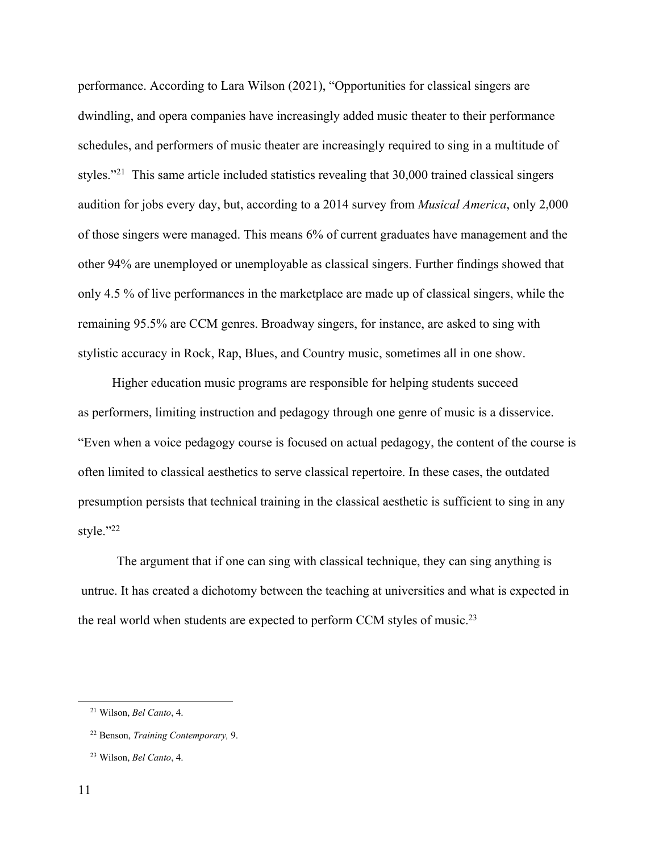performance. According to Lara Wilson (2021), "Opportunities for classical singers are dwindling, and opera companies have increasingly added music theater to their performance schedules, and performers of music theater are increasingly required to sing in a multitude of styles."21 This same article included statistics revealing that 30,000 trained classical singers audition for jobs every day, but, according to a 2014 survey from *Musical America*, only 2,000 of those singers were managed. This means 6% of current graduates have management and the other 94% are unemployed or unemployable as classical singers. Further findings showed that only 4.5 % of live performances in the marketplace are made up of classical singers, while the remaining 95.5% are CCM genres. Broadway singers, for instance, are asked to sing with stylistic accuracy in Rock, Rap, Blues, and Country music, sometimes all in one show.

Higher education music programs are responsible for helping students succeed as performers, limiting instruction and pedagogy through one genre of music is a disservice. "Even when a voice pedagogy course is focused on actual pedagogy, the content of the course is often limited to classical aesthetics to serve classical repertoire. In these cases, the outdated presumption persists that technical training in the classical aesthetic is sufficient to sing in any style."22

The argument that if one can sing with classical technique, they can sing anything is untrue. It has created a dichotomy between the teaching at universities and what is expected in the real world when students are expected to perform CCM styles of music.<sup>23</sup>

 <sup>21</sup> Wilson, *Bel Canto*, 4.

 <sup>22</sup> Benson, *Training Contemporary,* 9.

 <sup>23</sup> Wilson, *Bel Canto*, 4.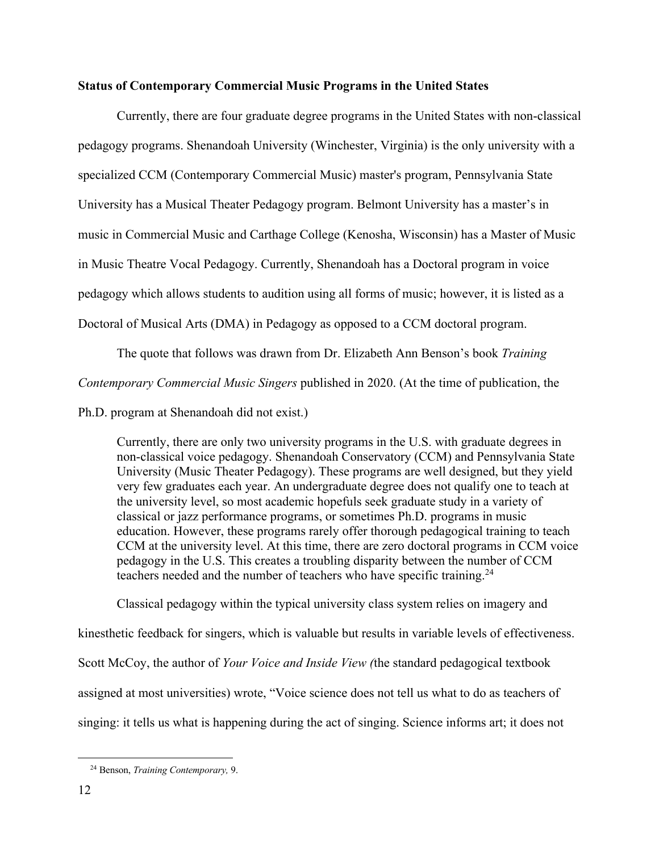### **Status of Contemporary Commercial Music Programs in the United States**

Currently, there are four graduate degree programs in the United States with non-classical pedagogy programs. Shenandoah University (Winchester, Virginia) is the only university with a specialized CCM (Contemporary Commercial Music) master's program, Pennsylvania State University has a Musical Theater Pedagogy program. Belmont University has a master's in music in Commercial Music and Carthage College (Kenosha, Wisconsin) has a Master of Music in Music Theatre Vocal Pedagogy. Currently, Shenandoah has a Doctoral program in voice pedagogy which allows students to audition using all forms of music; however, it is listed as a Doctoral of Musical Arts (DMA) in Pedagogy as opposed to a CCM doctoral program.

The quote that follows was drawn from Dr. Elizabeth Ann Benson's book *Training Contemporary Commercial Music Singers* published in 2020. (At the time of publication, the

Ph.D. program at Shenandoah did not exist.)

Currently, there are only two university programs in the U.S. with graduate degrees in non-classical voice pedagogy. Shenandoah Conservatory (CCM) and Pennsylvania State University (Music Theater Pedagogy). These programs are well designed, but they yield very few graduates each year. An undergraduate degree does not qualify one to teach at the university level, so most academic hopefuls seek graduate study in a variety of classical or jazz performance programs, or sometimes Ph.D. programs in music education. However, these programs rarely offer thorough pedagogical training to teach CCM at the university level. At this time, there are zero doctoral programs in CCM voice pedagogy in the U.S. This creates a troubling disparity between the number of CCM teachers needed and the number of teachers who have specific training.<sup>24</sup>

Classical pedagogy within the typical university class system relies on imagery and

kinesthetic feedback for singers, which is valuable but results in variable levels of effectiveness.

Scott McCoy, the author of *Your Voice and Inside View (*the standard pedagogical textbook

assigned at most universities) wrote, "Voice science does not tell us what to do as teachers of

singing: it tells us what is happening during the act of singing. Science informs art; it does not

 <sup>24</sup> Benson, *Training Contemporary,* 9.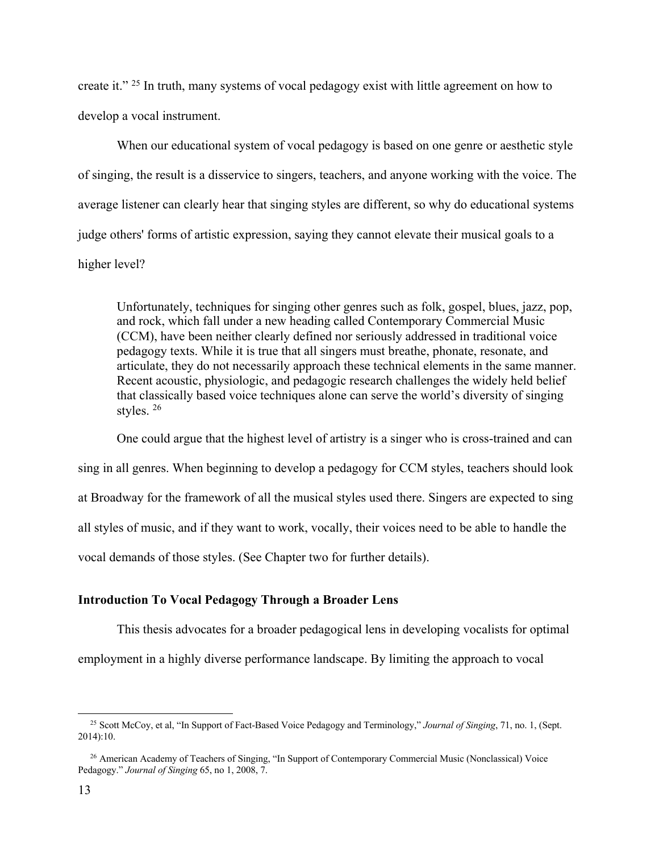create it." 25 In truth, many systems of vocal pedagogy exist with little agreement on how to develop a vocal instrument.

When our educational system of vocal pedagogy is based on one genre or aesthetic style of singing, the result is a disservice to singers, teachers, and anyone working with the voice. The average listener can clearly hear that singing styles are different, so why do educational systems judge others' forms of artistic expression, saying they cannot elevate their musical goals to a higher level?

Unfortunately, techniques for singing other genres such as folk, gospel, blues, jazz, pop, and rock, which fall under a new heading called Contemporary Commercial Music (CCM), have been neither clearly defined nor seriously addressed in traditional voice pedagogy texts. While it is true that all singers must breathe, phonate, resonate, and articulate, they do not necessarily approach these technical elements in the same manner. Recent acoustic, physiologic, and pedagogic research challenges the widely held belief that classically based voice techniques alone can serve the world's diversity of singing styles. 26

One could argue that the highest level of artistry is a singer who is cross-trained and can sing in all genres. When beginning to develop a pedagogy for CCM styles, teachers should look at Broadway for the framework of all the musical styles used there. Singers are expected to sing all styles of music, and if they want to work, vocally, their voices need to be able to handle the vocal demands of those styles. (See Chapter two for further details).

### **Introduction To Vocal Pedagogy Through a Broader Lens**

This thesis advocates for a broader pedagogical lens in developing vocalists for optimal employment in a highly diverse performance landscape. By limiting the approach to vocal

 <sup>25</sup> Scott McCoy, et al, "In Support of Fact-Based Voice Pedagogy and Terminology," *Journal of Singing*, 71, no. 1, (Sept. 2014):10.

<sup>&</sup>lt;sup>26</sup> American Academy of Teachers of Singing, "In Support of Contemporary Commercial Music (Nonclassical) Voice Pedagogy." *Journal of Singing* 65, no 1, 2008, 7.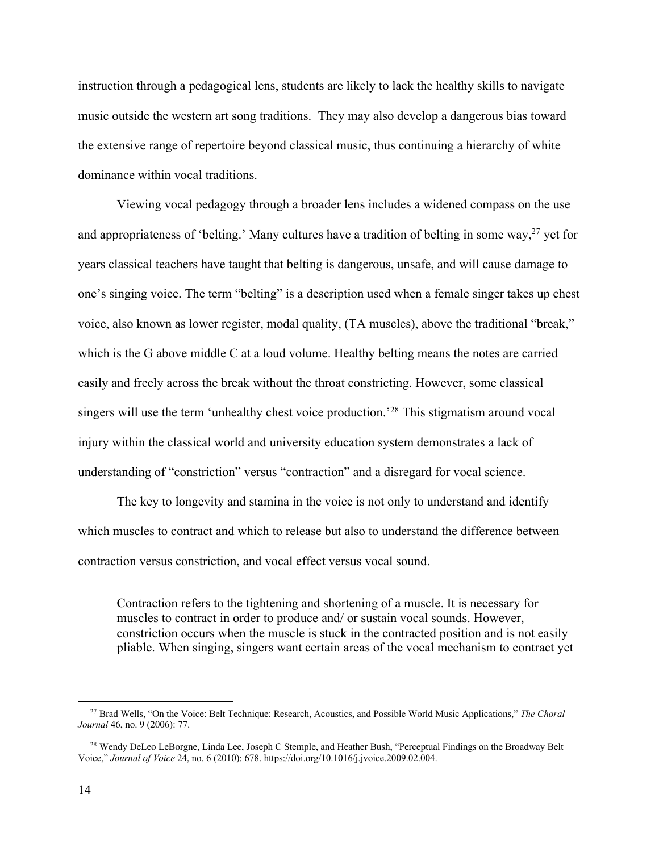instruction through a pedagogical lens, students are likely to lack the healthy skills to navigate music outside the western art song traditions. They may also develop a dangerous bias toward the extensive range of repertoire beyond classical music, thus continuing a hierarchy of white dominance within vocal traditions.

Viewing vocal pedagogy through a broader lens includes a widened compass on the use and appropriateness of 'belting.' Many cultures have a tradition of belting in some way, <sup>27</sup> yet for years classical teachers have taught that belting is dangerous, unsafe, and will cause damage to one's singing voice. The term "belting" is a description used when a female singer takes up chest voice, also known as lower register, modal quality, (TA muscles), above the traditional "break," which is the G above middle C at a loud volume. Healthy belting means the notes are carried easily and freely across the break without the throat constricting. However, some classical singers will use the term 'unhealthy chest voice production.'28 This stigmatism around vocal injury within the classical world and university education system demonstrates a lack of understanding of "constriction" versus "contraction" and a disregard for vocal science.

The key to longevity and stamina in the voice is not only to understand and identify which muscles to contract and which to release but also to understand the difference between contraction versus constriction, and vocal effect versus vocal sound.

Contraction refers to the tightening and shortening of a muscle. It is necessary for muscles to contract in order to produce and/ or sustain vocal sounds. However, constriction occurs when the muscle is stuck in the contracted position and is not easily pliable. When singing, singers want certain areas of the vocal mechanism to contract yet

 <sup>27</sup> Brad Wells, "On the Voice: Belt Technique: Research, Acoustics, and Possible World Music Applications," *The Choral Journal* 46, no. 9 (2006): 77.

<sup>&</sup>lt;sup>28</sup> Wendy DeLeo LeBorgne, Linda Lee, Joseph C Stemple, and Heather Bush, "Perceptual Findings on the Broadway Belt Voice," *Journal of Voice* 24, no. 6 (2010): 678. https://doi.org/10.1016/j.jvoice.2009.02.004.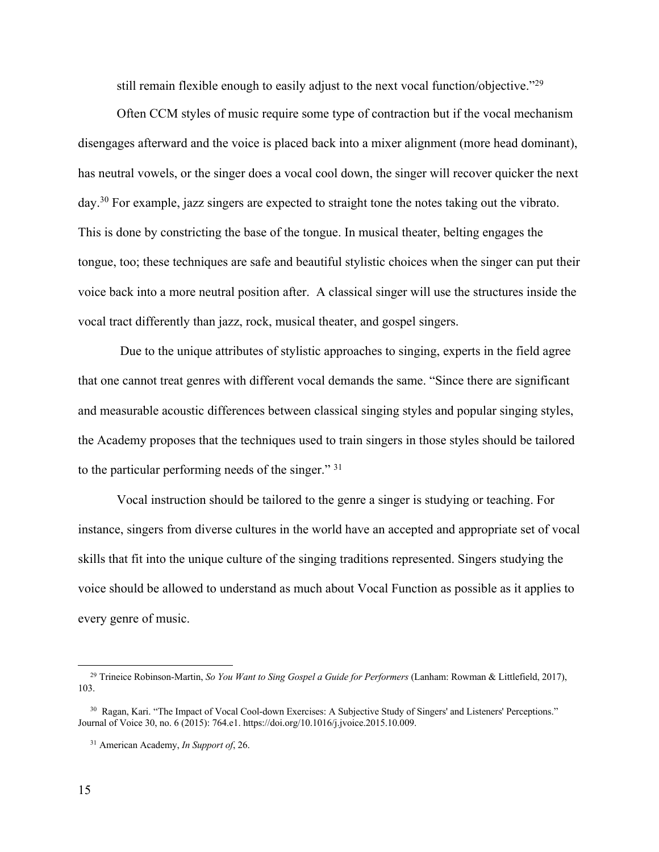still remain flexible enough to easily adjust to the next vocal function/objective."29

Often CCM styles of music require some type of contraction but if the vocal mechanism disengages afterward and the voice is placed back into a mixer alignment (more head dominant), has neutral vowels, or the singer does a vocal cool down, the singer will recover quicker the next day.<sup>30</sup> For example, jazz singers are expected to straight tone the notes taking out the vibrato. This is done by constricting the base of the tongue. In musical theater, belting engages the tongue, too; these techniques are safe and beautiful stylistic choices when the singer can put their voice back into a more neutral position after. A classical singer will use the structures inside the vocal tract differently than jazz, rock, musical theater, and gospel singers.

Due to the unique attributes of stylistic approaches to singing, experts in the field agree that one cannot treat genres with different vocal demands the same. "Since there are significant and measurable acoustic differences between classical singing styles and popular singing styles, the Academy proposes that the techniques used to train singers in those styles should be tailored to the particular performing needs of the singer." <sup>31</sup>

Vocal instruction should be tailored to the genre a singer is studying or teaching. For instance, singers from diverse cultures in the world have an accepted and appropriate set of vocal skills that fit into the unique culture of the singing traditions represented. Singers studying the voice should be allowed to understand as much about Vocal Function as possible as it applies to every genre of music.

 <sup>29</sup> Trineice Robinson-Martin, *So You Want to Sing Gospel a Guide for Performers* (Lanham: Rowman & Littlefield, 2017), 103.

<sup>&</sup>lt;sup>30</sup> Ragan, Kari. "The Impact of Vocal Cool-down Exercises: A Subjective Study of Singers' and Listeners' Perceptions." Journal of Voice 30, no. 6 (2015): 764.e1. https://doi.org/10.1016/j.jvoice.2015.10.009.

 <sup>31</sup> American Academy, *In Support of*, 26.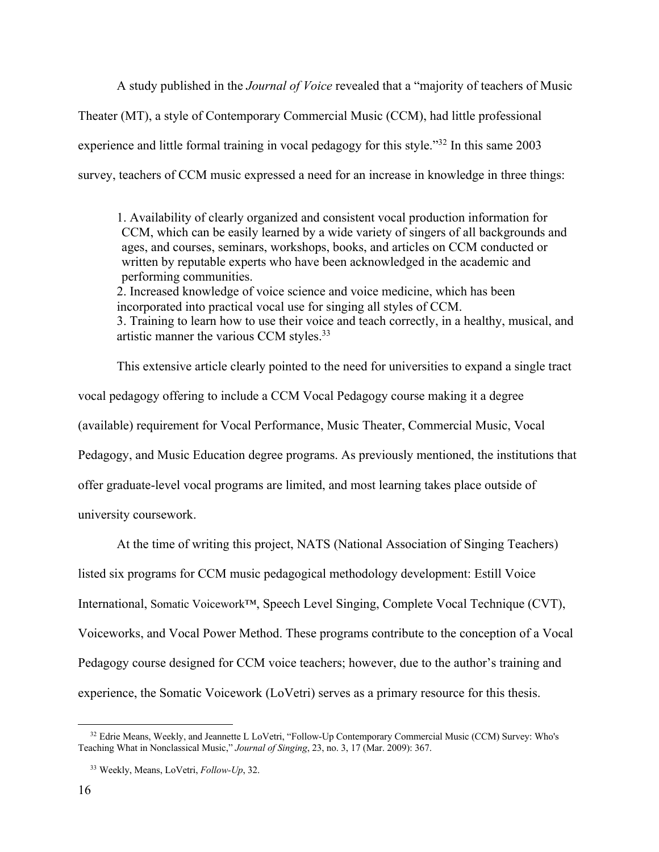A study published in the *Journal of Voice* revealed that a "majority of teachers of Music Theater (MT), a style of Contemporary Commercial Music (CCM), had little professional experience and little formal training in vocal pedagogy for this style."32 In this same 2003 survey, teachers of CCM music expressed a need for an increase in knowledge in three things:

1. Availability of clearly organized and consistent vocal production information for CCM, which can be easily learned by a wide variety of singers of all backgrounds and ages, and courses, seminars, workshops, books, and articles on CCM conducted or written by reputable experts who have been acknowledged in the academic and performing communities. 2. Increased knowledge of voice science and voice medicine, which has been incorporated into practical vocal use for singing all styles of CCM. 3. Training to learn how to use their voice and teach correctly, in a healthy, musical, and artistic manner the various CCM styles.33

This extensive article clearly pointed to the need for universities to expand a single tract vocal pedagogy offering to include a CCM Vocal Pedagogy course making it a degree (available) requirement for Vocal Performance, Music Theater, Commercial Music, Vocal Pedagogy, and Music Education degree programs. As previously mentioned, the institutions that offer graduate-level vocal programs are limited, and most learning takes place outside of university coursework.

At the time of writing this project, NATS (National Association of Singing Teachers) listed six programs for CCM music pedagogical methodology development: Estill Voice International, Somatic Voicework™, Speech Level Singing, Complete Vocal Technique (CVT), Voiceworks, and Vocal Power Method. These programs contribute to the conception of a Vocal Pedagogy course designed for CCM voice teachers; however, due to the author's training and experience, the Somatic Voicework (LoVetri) serves as a primary resource for this thesis.

<sup>&</sup>lt;sup>32</sup> Edrie Means, Weekly, and Jeannette L LoVetri, "Follow-Up Contemporary Commercial Music (CCM) Survey: Who's Teaching What in Nonclassical Music," *Journal of Singing*, 23, no. 3, 17 (Mar. 2009): 367.

 <sup>33</sup> Weekly, Means, LoVetri, *Follow-Up*, 32.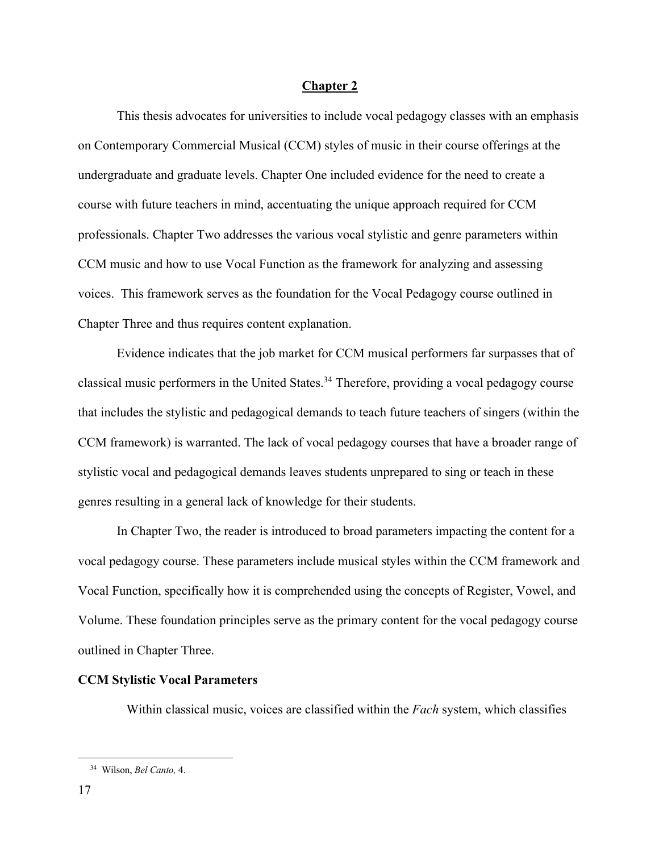#### **Chapter 2**

This thesis advocates for universities to include vocal pedagogy classes with an emphasis on Contemporary Commercial Musical (CCM) styles of music in their course offerings at the undergraduate and graduate levels. Chapter One included evidence for the need to create a course with future teachers in mind, accentuating the unique approach required for CCM professionals. Chapter Two addresses the various vocal stylistic and genre parameters within CCM music and how to use Vocal Function as the framework for analyzing and assessing voices. This framework serves as the foundation for the Vocal Pedagogy course outlined in Chapter Three and thus requires content explanation.

Evidence indicates that the job market for CCM musical performers far surpasses that of classical music performers in the United States.<sup>34</sup> Therefore, providing a vocal pedagogy course that includes the stylistic and pedagogical demands to teach future teachers of singers (within the CCM framework) is warranted. The lack of vocal pedagogy courses that have a broader range of stylistic vocal and pedagogical demands leaves students unprepared to sing or teach in these genres resulting in a general lack of knowledge for their students.

In Chapter Two, the reader is introduced to broad parameters impacting the content for a vocal pedagogy course. These parameters include musical styles within the CCM framework and Vocal Function, specifically how it is comprehended using the concepts of Register, Vowel, and Volume. These foundation principles serve as the primary content for the vocal pedagogy course outlined in Chapter Three.

### **CCM Stylistic Vocal Parameters**

Within classical music, voices are classified within the *Fach* system, which classifies

 <sup>34</sup> Wilson, *Bel Canto,* 4.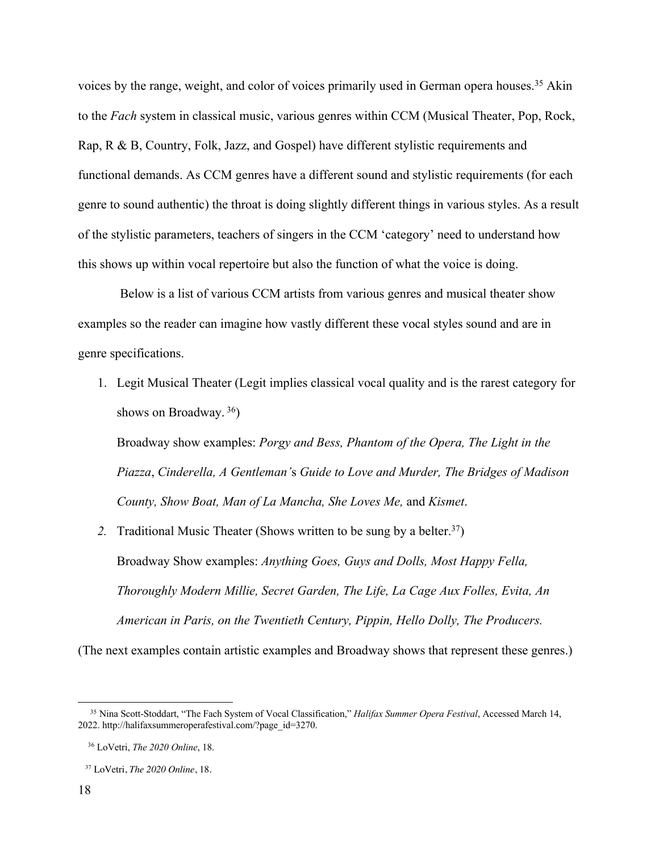voices by the range, weight, and color of voices primarily used in German opera houses.<sup>35</sup> Akin to the *Fach* system in classical music, various genres within CCM (Musical Theater, Pop, Rock, Rap, R & B, Country, Folk, Jazz, and Gospel) have different stylistic requirements and functional demands. As CCM genres have a different sound and stylistic requirements (for each genre to sound authentic) the throat is doing slightly different things in various styles. As a result of the stylistic parameters, teachers of singers in the CCM 'category' need to understand how this shows up within vocal repertoire but also the function of what the voice is doing.

Below is a list of various CCM artists from various genres and musical theater show examples so the reader can imagine how vastly different these vocal styles sound and are in genre specifications.

1. Legit Musical Theater (Legit implies classical vocal quality and is the rarest category for shows on Broadway. 36)

Broadway show examples: *Porgy and Bess, Phantom of the Opera, The Light in the Piazza*, *Cinderella, A Gentleman'*s *Guide to Love and Murder, The Bridges of Madison County, Show Boat, Man of La Mancha, She Loves Me,* and *Kismet*.

2. Traditional Music Theater (Shows written to be sung by a belter.<sup>37</sup>) Broadway Show examples: *Anything Goes, Guys and Dolls, Most Happy Fella, Thoroughly Modern Millie, Secret Garden, The Life, La Cage Aux Folles, Evita, An American in Paris, on the Twentieth Century, Pippin, Hello Dolly, The Producers.* 

(The next examples contain artistic examples and Broadway shows that represent these genres.)

 <sup>35</sup> Nina Scott-Stoddart, "The Fach System of Vocal Classification," *Halifax Summer Opera Festival*, Accessed March 14, 2022. http://halifaxsummeroperafestival.com/?page\_id=3270.

 <sup>36</sup> LoVetri, *The 2020 Online*, 18.

 <sup>37</sup> LoVetri, *The 2020 Online*, 18.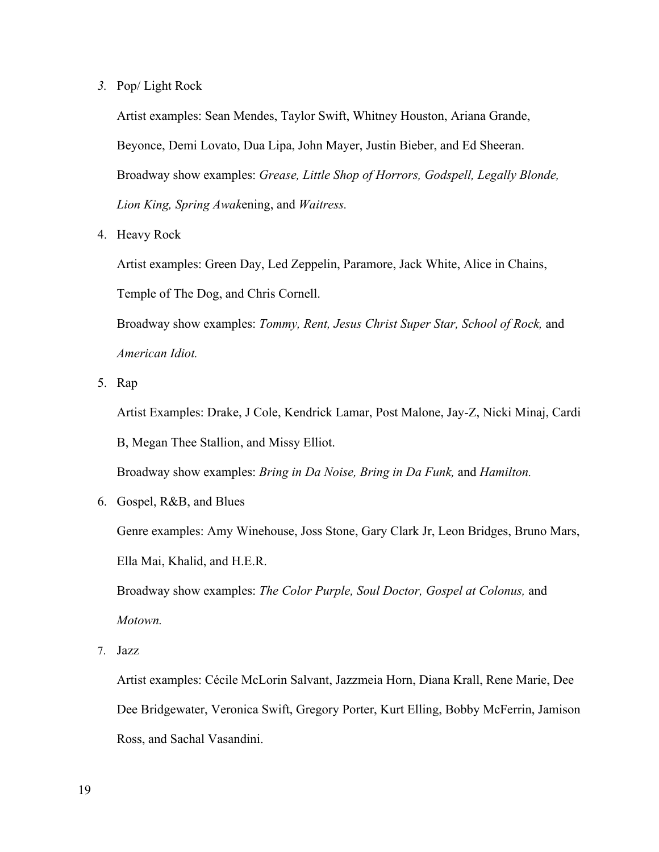*3.* Pop/ Light Rock

Artist examples: Sean Mendes, Taylor Swift, Whitney Houston, Ariana Grande, Beyonce, Demi Lovato, Dua Lipa, John Mayer, Justin Bieber, and Ed Sheeran. Broadway show examples: *Grease, Little Shop of Horrors, Godspell, Legally Blonde, Lion King, Spring Awak*ening, and *Waitress.*

4. Heavy Rock

Artist examples: Green Day, Led Zeppelin, Paramore, Jack White, Alice in Chains, Temple of The Dog, and Chris Cornell.

Broadway show examples: *Tommy, Rent, Jesus Christ Super Star, School of Rock,* and *American Idiot.* 

5. Rap

Artist Examples: Drake, J Cole, Kendrick Lamar, Post Malone, Jay-Z, Nicki Minaj, Cardi B, Megan Thee Stallion, and Missy Elliot.

Broadway show examples: *Bring in Da Noise, Bring in Da Funk,* and *Hamilton.*

6. Gospel, R&B, and Blues

Genre examples: Amy Winehouse, Joss Stone, Gary Clark Jr, Leon Bridges, Bruno Mars, Ella Mai, Khalid, and H.E.R.

Broadway show examples: *The Color Purple, Soul Doctor, Gospel at Colonus,* and *Motown.*

7. Jazz

Artist examples: Cécile McLorin Salvant, Jazzmeia Horn, Diana Krall, Rene Marie, Dee Dee Bridgewater, Veronica Swift, Gregory Porter, Kurt Elling, Bobby McFerrin, Jamison Ross, and Sachal Vasandini.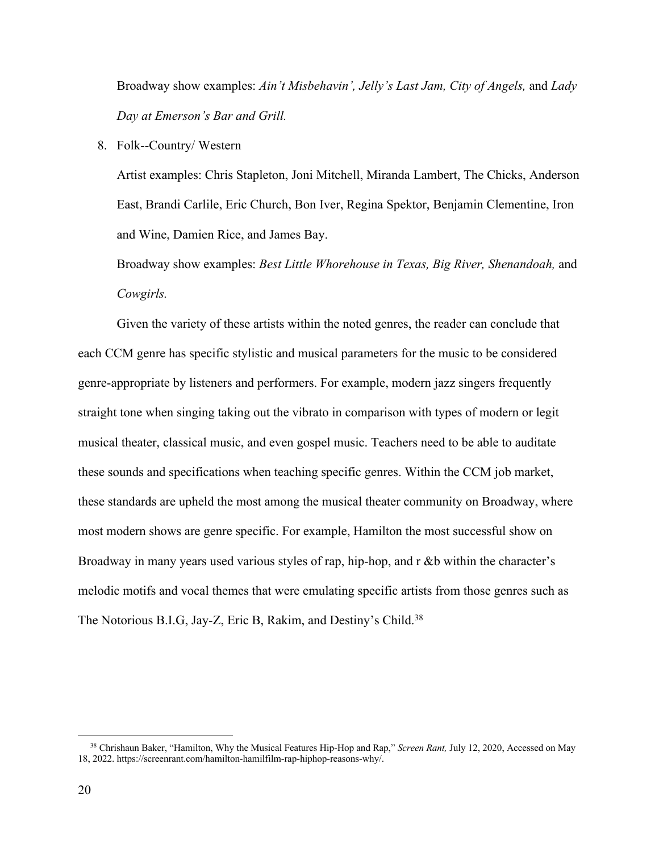Broadway show examples: *Ain't Misbehavin', Jelly's Last Jam, City of Angels,* and *Lady Day at Emerson's Bar and Grill.* 

8. Folk--Country/ Western

Artist examples: Chris Stapleton, Joni Mitchell, Miranda Lambert, The Chicks, Anderson East, Brandi Carlile, Eric Church, Bon Iver, Regina Spektor, Benjamin Clementine, Iron and Wine, Damien Rice, and James Bay.

Broadway show examples: *Best Little Whorehouse in Texas, Big River, Shenandoah,* and *Cowgirls.* 

Given the variety of these artists within the noted genres, the reader can conclude that each CCM genre has specific stylistic and musical parameters for the music to be considered genre-appropriate by listeners and performers. For example, modern jazz singers frequently straight tone when singing taking out the vibrato in comparison with types of modern or legit musical theater, classical music, and even gospel music. Teachers need to be able to auditate these sounds and specifications when teaching specific genres. Within the CCM job market, these standards are upheld the most among the musical theater community on Broadway, where most modern shows are genre specific. For example, Hamilton the most successful show on Broadway in many years used various styles of rap, hip-hop, and r &b within the character's melodic motifs and vocal themes that were emulating specific artists from those genres such as The Notorious B.I.G, Jay-Z, Eric B, Rakim, and Destiny's Child.<sup>38</sup>

 <sup>38</sup> Chrishaun Baker, "Hamilton, Why the Musical Features Hip-Hop and Rap," *Screen Rant,* July 12, 2020, Accessed on May 18, 2022. https://screenrant.com/hamilton-hamilfilm-rap-hiphop-reasons-why/.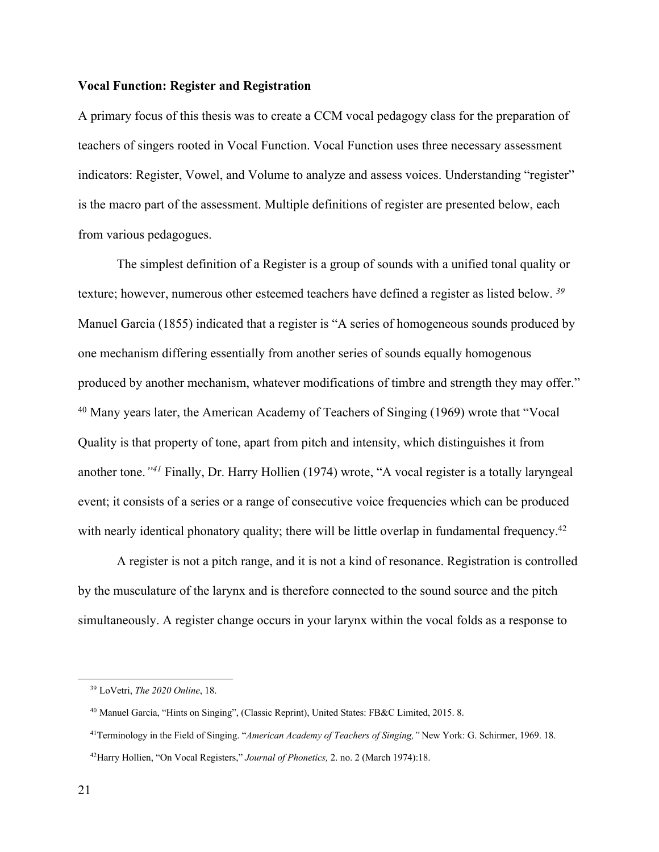### **Vocal Function: Register and Registration**

A primary focus of this thesis was to create a CCM vocal pedagogy class for the preparation of teachers of singers rooted in Vocal Function. Vocal Function uses three necessary assessment indicators: Register, Vowel, and Volume to analyze and assess voices. Understanding "register" is the macro part of the assessment. Multiple definitions of register are presented below, each from various pedagogues.

The simplest definition of a Register is a group of sounds with a unified tonal quality or texture; however, numerous other esteemed teachers have defined a register as listed below. *<sup>39</sup>* Manuel Garcia (1855) indicated that a register is "A series of homogeneous sounds produced by one mechanism differing essentially from another series of sounds equally homogenous produced by another mechanism, whatever modifications of timbre and strength they may offer." <sup>40</sup> Many years later, the American Academy of Teachers of Singing (1969) wrote that "Vocal Quality is that property of tone, apart from pitch and intensity, which distinguishes it from another tone.*"41* Finally, Dr. Harry Hollien (1974) wrote, "A vocal register is a totally laryngeal event; it consists of a series or a range of consecutive voice frequencies which can be produced with nearly identical phonatory quality; there will be little overlap in fundamental frequency.<sup>42</sup>

A register is not a pitch range, and it is not a kind of resonance. Registration is controlled by the musculature of the larynx and is therefore connected to the sound source and the pitch simultaneously. A register change occurs in your larynx within the vocal folds as a response to

 <sup>39</sup> LoVetri, *The 2020 Online*, 18.

 <sup>40</sup> Manuel García, "Hints on Singing", (Classic Reprint), United States: FB&C Limited, 2015. 8.

 <sup>41</sup>Terminology in the Field of Singing. "*American Academy of Teachers of Singing,"* New York: G. Schirmer, 1969. 18. 42Harry Hollien, "On Vocal Registers," *Journal of Phonetics,* 2. no. 2 (March 1974):18.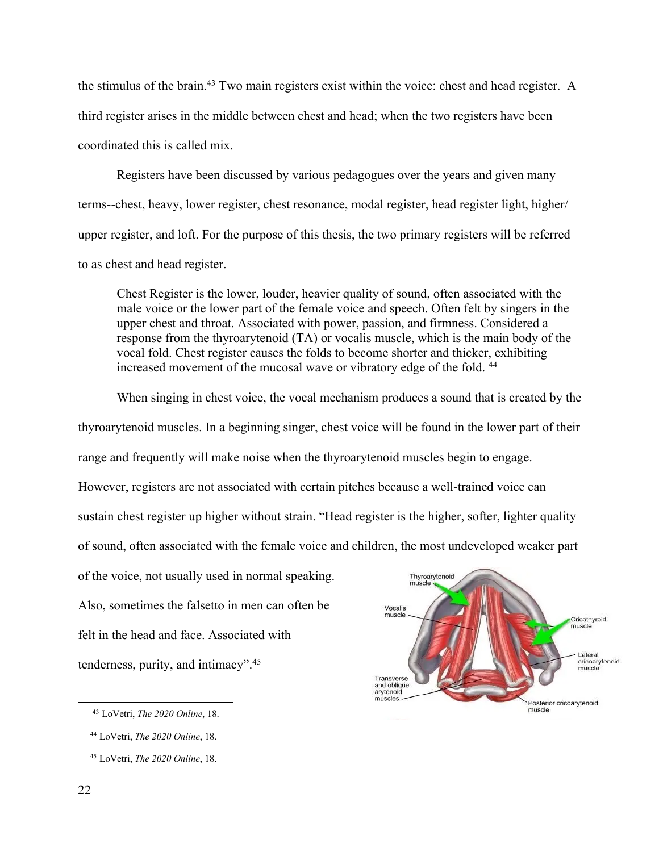the stimulus of the brain.43 Two main registers exist within the voice: chest and head register. A third register arises in the middle between chest and head; when the two registers have been coordinated this is called mix.

Registers have been discussed by various pedagogues over the years and given many terms--chest, heavy, lower register, chest resonance, modal register, head register light, higher/ upper register, and loft. For the purpose of this thesis, the two primary registers will be referred to as chest and head register.

Chest Register is the lower, louder, heavier quality of sound, often associated with the male voice or the lower part of the female voice and speech. Often felt by singers in the upper chest and throat. Associated with power, passion, and firmness. Considered a response from the thyroarytenoid (TA) or vocalis muscle, which is the main body of the vocal fold. Chest register causes the folds to become shorter and thicker, exhibiting increased movement of the mucosal wave or vibratory edge of the fold. 44

When singing in chest voice, the vocal mechanism produces a sound that is created by the thyroarytenoid muscles. In a beginning singer, chest voice will be found in the lower part of their range and frequently will make noise when the thyroarytenoid muscles begin to engage. However, registers are not associated with certain pitches because a well-trained voice can sustain chest register up higher without strain. "Head register is the higher, softer, lighter quality of sound, often associated with the female voice and children, the most undeveloped weaker part of the voice, not usually used in normal speaking. Thyroarytenoid<br>muscle Also, sometimes the falsetto in men can often be Vocalis muscle felt in the head and face. Associated with

tenderness, purity, and intimacy". 45



 <sup>43</sup> LoVetri, *The 2020 Online*, 18.

 <sup>44</sup> LoVetri, *The 2020 Online*, 18.

 <sup>45</sup> LoVetri, *The 2020 Online*, 18.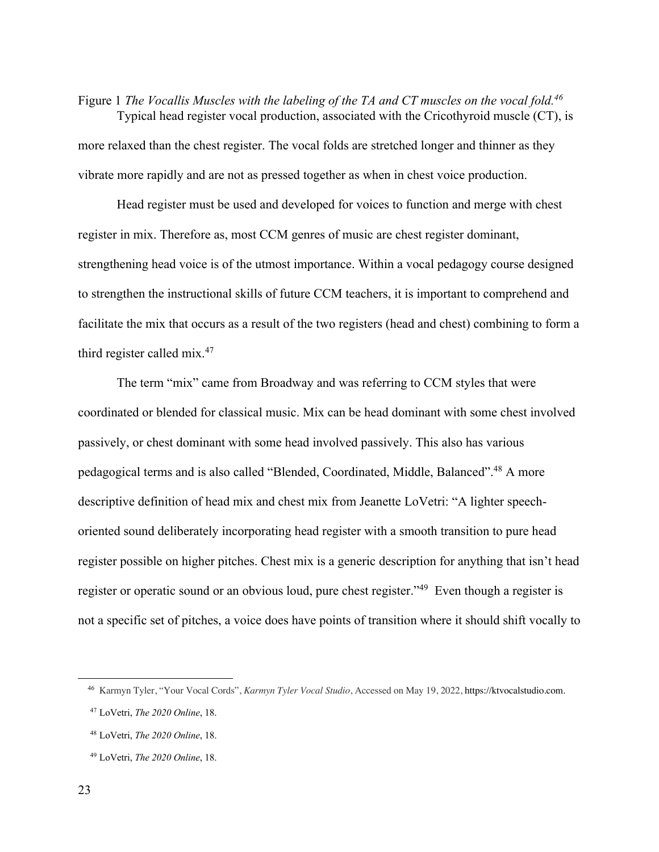Figure 1 *The Vocallis Muscles with the labeling of the TA and CT muscles on the vocal fold.46* Typical head register vocal production, associated with the Cricothyroid muscle (CT), is more relaxed than the chest register. The vocal folds are stretched longer and thinner as they vibrate more rapidly and are not as pressed together as when in chest voice production.

Head register must be used and developed for voices to function and merge with chest register in mix. Therefore as, most CCM genres of music are chest register dominant, strengthening head voice is of the utmost importance. Within a vocal pedagogy course designed to strengthen the instructional skills of future CCM teachers, it is important to comprehend and facilitate the mix that occurs as a result of the two registers (head and chest) combining to form a third register called mix.47

The term "mix" came from Broadway and was referring to CCM styles that were coordinated or blended for classical music. Mix can be head dominant with some chest involved passively, or chest dominant with some head involved passively. This also has various pedagogical terms and is also called "Blended, Coordinated, Middle, Balanced".48 A more descriptive definition of head mix and chest mix from Jeanette LoVetri: "A lighter speechoriented sound deliberately incorporating head register with a smooth transition to pure head register possible on higher pitches. Chest mix is a generic description for anything that isn't head register or operatic sound or an obvious loud, pure chest register."<sup>49</sup> Even though a register is not a specific set of pitches, a voice does have points of transition where it should shift vocally to

 <sup>46</sup> Karmyn Tyler, "Your Vocal Cords", *Karmyn Tyler Vocal Studio*, Accessed on May 19, 2022, https://ktvocalstudio.com.

 <sup>47</sup> LoVetri, *The 2020 Online*, 18.

 <sup>48</sup> LoVetri, *The 2020 Online*, 18.

 <sup>49</sup> LoVetri, *The 2020 Online*, 18.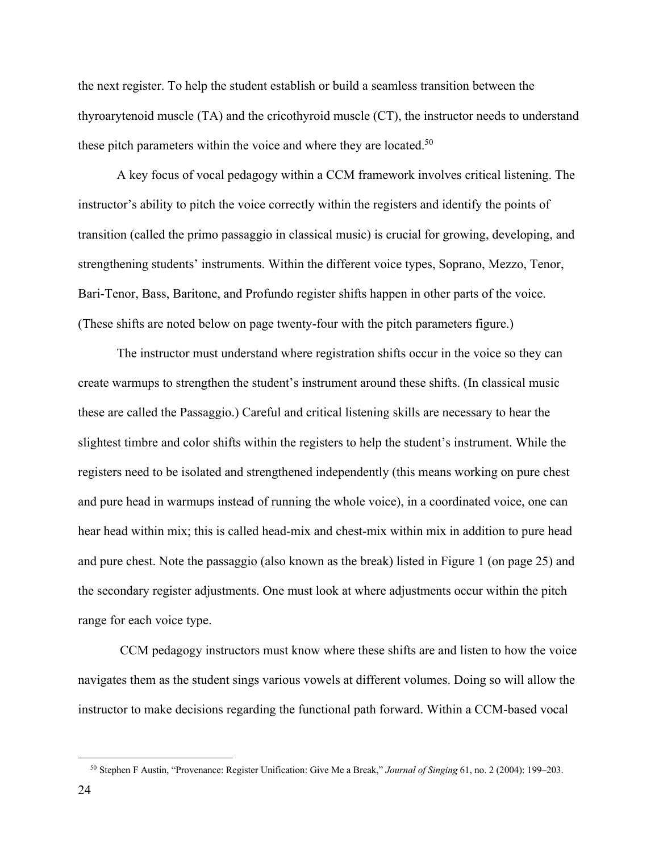the next register. To help the student establish or build a seamless transition between the thyroarytenoid muscle (TA) and the cricothyroid muscle (CT), the instructor needs to understand these pitch parameters within the voice and where they are located.<sup>50</sup>

A key focus of vocal pedagogy within a CCM framework involves critical listening. The instructor's ability to pitch the voice correctly within the registers and identify the points of transition (called the primo passaggio in classical music) is crucial for growing, developing, and strengthening students' instruments. Within the different voice types, Soprano, Mezzo, Tenor, Bari-Tenor, Bass, Baritone, and Profundo register shifts happen in other parts of the voice. (These shifts are noted below on page twenty-four with the pitch parameters figure.)

The instructor must understand where registration shifts occur in the voice so they can create warmups to strengthen the student's instrument around these shifts. (In classical music these are called the Passaggio.) Careful and critical listening skills are necessary to hear the slightest timbre and color shifts within the registers to help the student's instrument. While the registers need to be isolated and strengthened independently (this means working on pure chest and pure head in warmups instead of running the whole voice), in a coordinated voice, one can hear head within mix; this is called head-mix and chest-mix within mix in addition to pure head and pure chest. Note the passaggio (also known as the break) listed in Figure 1 (on page 25) and the secondary register adjustments. One must look at where adjustments occur within the pitch range for each voice type.

CCM pedagogy instructors must know where these shifts are and listen to how the voice navigates them as the student sings various vowels at different volumes. Doing so will allow the instructor to make decisions regarding the functional path forward. Within a CCM-based vocal

 <sup>50</sup> Stephen F Austin, "Provenance: Register Unification: Give Me a Break," *Journal of Singing* 61, no. 2 (2004): 199–203.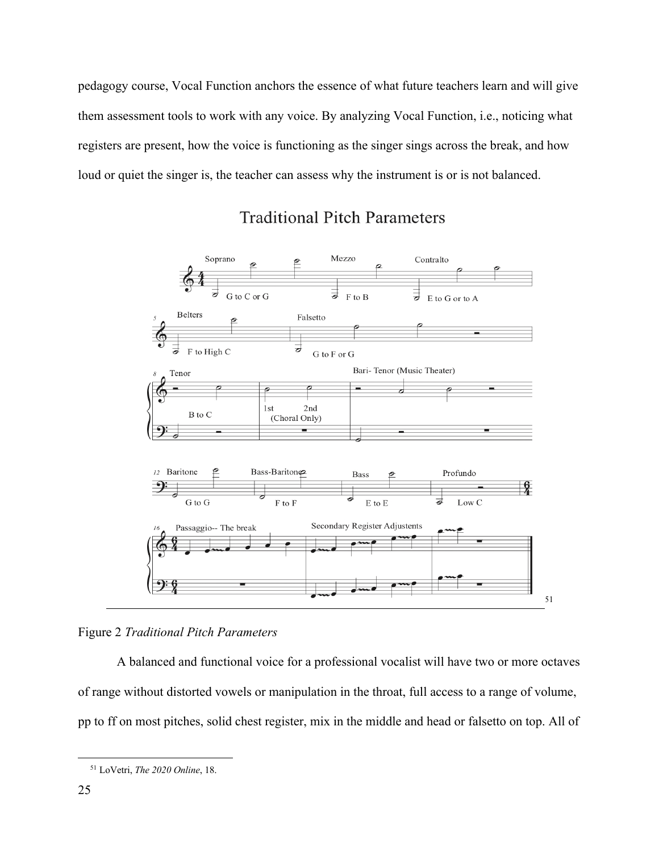pedagogy course, Vocal Function anchors the essence of what future teachers learn and will give them assessment tools to work with any voice. By analyzing Vocal Function, i.e., noticing what registers are present, how the voice is functioning as the singer sings across the break, and how loud or quiet the singer is, the teacher can assess why the instrument is or is not balanced.



## **Traditional Pitch Parameters**

Figure 2 *Traditional Pitch Parameters*

A balanced and functional voice for a professional vocalist will have two or more octaves of range without distorted vowels or manipulation in the throat, full access to a range of volume, pp to ff on most pitches, solid chest register, mix in the middle and head or falsetto on top. All of

 <sup>51</sup> LoVetri, *The 2020 Online*, 18.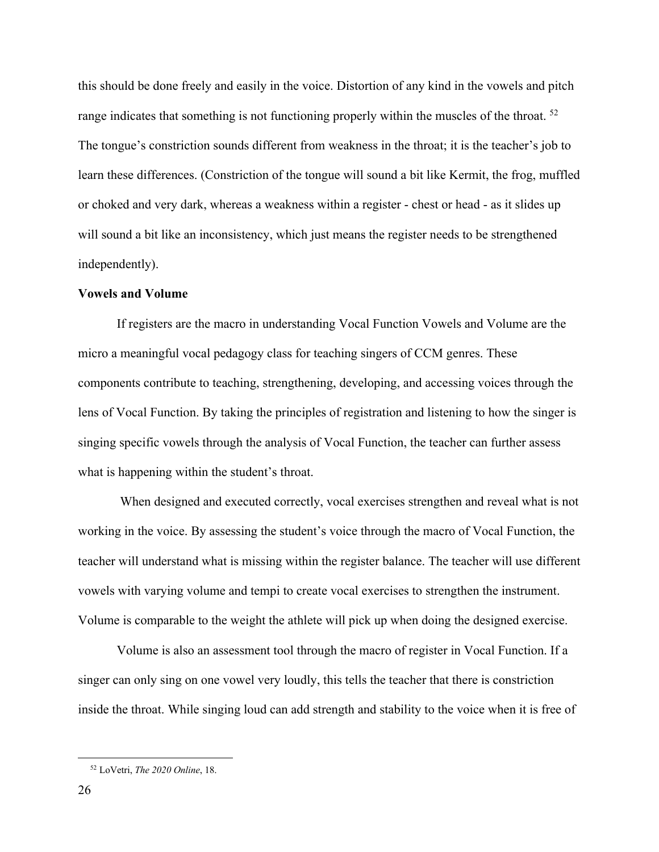this should be done freely and easily in the voice. Distortion of any kind in the vowels and pitch range indicates that something is not functioning properly within the muscles of the throat. <sup>52</sup> The tongue's constriction sounds different from weakness in the throat; it is the teacher's job to learn these differences. (Constriction of the tongue will sound a bit like Kermit, the frog, muffled or choked and very dark, whereas a weakness within a register - chest or head - as it slides up will sound a bit like an inconsistency, which just means the register needs to be strengthened independently).

#### **Vowels and Volume**

If registers are the macro in understanding Vocal Function Vowels and Volume are the micro a meaningful vocal pedagogy class for teaching singers of CCM genres. These components contribute to teaching, strengthening, developing, and accessing voices through the lens of Vocal Function. By taking the principles of registration and listening to how the singer is singing specific vowels through the analysis of Vocal Function, the teacher can further assess what is happening within the student's throat.

When designed and executed correctly, vocal exercises strengthen and reveal what is not working in the voice. By assessing the student's voice through the macro of Vocal Function, the teacher will understand what is missing within the register balance. The teacher will use different vowels with varying volume and tempi to create vocal exercises to strengthen the instrument. Volume is comparable to the weight the athlete will pick up when doing the designed exercise.

Volume is also an assessment tool through the macro of register in Vocal Function. If a singer can only sing on one vowel very loudly, this tells the teacher that there is constriction inside the throat. While singing loud can add strength and stability to the voice when it is free of

 <sup>52</sup> LoVetri, *The 2020 Online*, 18.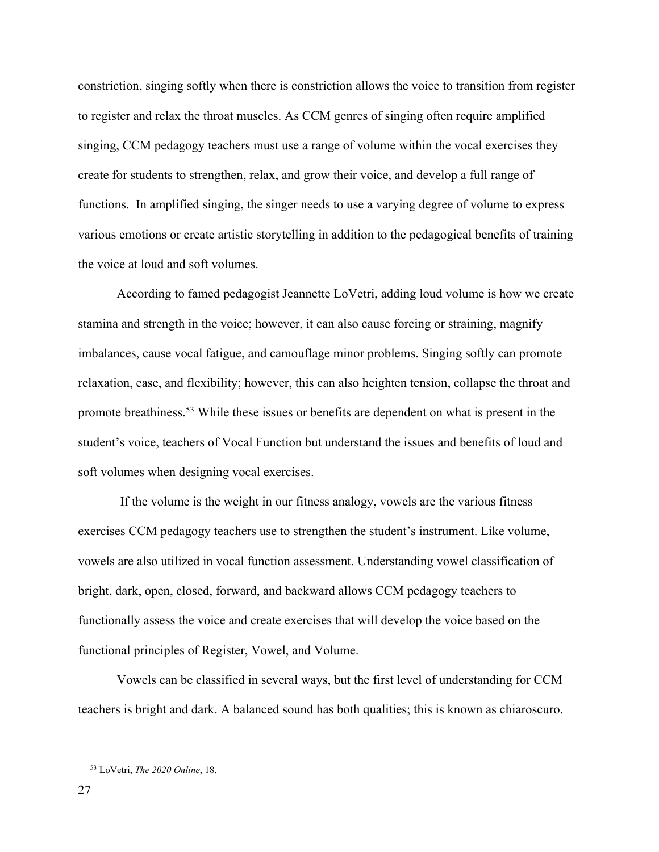constriction, singing softly when there is constriction allows the voice to transition from register to register and relax the throat muscles. As CCM genres of singing often require amplified singing, CCM pedagogy teachers must use a range of volume within the vocal exercises they create for students to strengthen, relax, and grow their voice, and develop a full range of functions. In amplified singing, the singer needs to use a varying degree of volume to express various emotions or create artistic storytelling in addition to the pedagogical benefits of training the voice at loud and soft volumes.

According to famed pedagogist Jeannette LoVetri, adding loud volume is how we create stamina and strength in the voice; however, it can also cause forcing or straining, magnify imbalances, cause vocal fatigue, and camouflage minor problems. Singing softly can promote relaxation, ease, and flexibility; however, this can also heighten tension, collapse the throat and promote breathiness.53 While these issues or benefits are dependent on what is present in the student's voice, teachers of Vocal Function but understand the issues and benefits of loud and soft volumes when designing vocal exercises.

If the volume is the weight in our fitness analogy, vowels are the various fitness exercises CCM pedagogy teachers use to strengthen the student's instrument. Like volume, vowels are also utilized in vocal function assessment. Understanding vowel classification of bright, dark, open, closed, forward, and backward allows CCM pedagogy teachers to functionally assess the voice and create exercises that will develop the voice based on the functional principles of Register, Vowel, and Volume.

Vowels can be classified in several ways, but the first level of understanding for CCM teachers is bright and dark. A balanced sound has both qualities; this is known as chiaroscuro.

 <sup>53</sup> LoVetri, *The 2020 Online*, 18.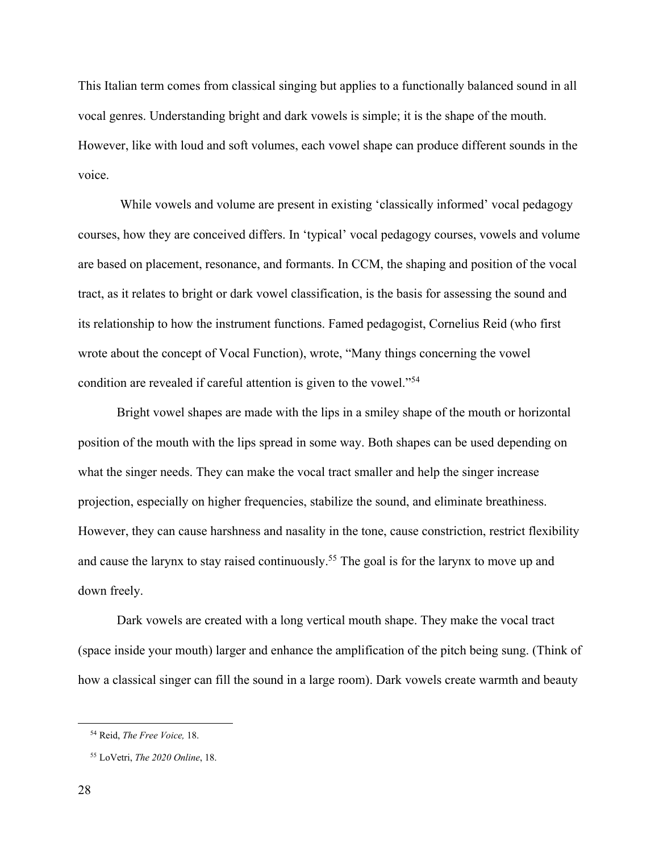This Italian term comes from classical singing but applies to a functionally balanced sound in all vocal genres. Understanding bright and dark vowels is simple; it is the shape of the mouth. However, like with loud and soft volumes, each vowel shape can produce different sounds in the voice.

While vowels and volume are present in existing 'classically informed' vocal pedagogy courses, how they are conceived differs. In 'typical' vocal pedagogy courses, vowels and volume are based on placement, resonance, and formants. In CCM, the shaping and position of the vocal tract, as it relates to bright or dark vowel classification, is the basis for assessing the sound and its relationship to how the instrument functions. Famed pedagogist, Cornelius Reid (who first wrote about the concept of Vocal Function), wrote, "Many things concerning the vowel condition are revealed if careful attention is given to the vowel."54

Bright vowel shapes are made with the lips in a smiley shape of the mouth or horizontal position of the mouth with the lips spread in some way. Both shapes can be used depending on what the singer needs. They can make the vocal tract smaller and help the singer increase projection, especially on higher frequencies, stabilize the sound, and eliminate breathiness. However, they can cause harshness and nasality in the tone, cause constriction, restrict flexibility and cause the larynx to stay raised continuously.<sup>55</sup> The goal is for the larynx to move up and down freely.

Dark vowels are created with a long vertical mouth shape. They make the vocal tract (space inside your mouth) larger and enhance the amplification of the pitch being sung. (Think of how a classical singer can fill the sound in a large room). Dark vowels create warmth and beauty

 <sup>54</sup> Reid, *The Free Voice,* 18.

 <sup>55</sup> LoVetri, *The 2020 Online*, 18.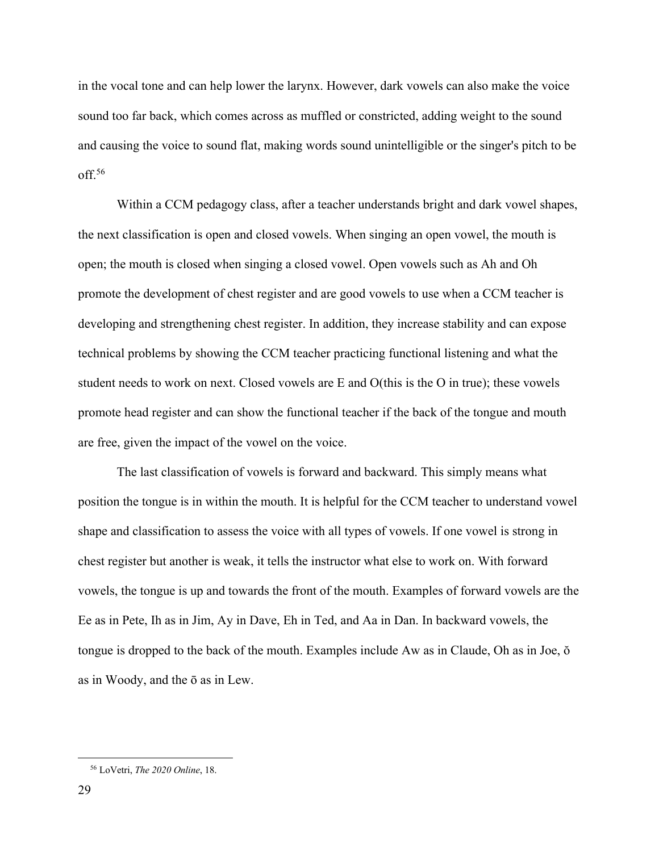in the vocal tone and can help lower the larynx. However, dark vowels can also make the voice sound too far back, which comes across as muffled or constricted, adding weight to the sound and causing the voice to sound flat, making words sound unintelligible or the singer's pitch to be off. 56

Within a CCM pedagogy class, after a teacher understands bright and dark vowel shapes, the next classification is open and closed vowels. When singing an open vowel, the mouth is open; the mouth is closed when singing a closed vowel. Open vowels such as Ah and Oh promote the development of chest register and are good vowels to use when a CCM teacher is developing and strengthening chest register. In addition, they increase stability and can expose technical problems by showing the CCM teacher practicing functional listening and what the student needs to work on next. Closed vowels are E and O(this is the O in true); these vowels promote head register and can show the functional teacher if the back of the tongue and mouth are free, given the impact of the vowel on the voice.

The last classification of vowels is forward and backward. This simply means what position the tongue is in within the mouth. It is helpful for the CCM teacher to understand vowel shape and classification to assess the voice with all types of vowels. If one vowel is strong in chest register but another is weak, it tells the instructor what else to work on. With forward vowels, the tongue is up and towards the front of the mouth. Examples of forward vowels are the Ee as in Pete, Ih as in Jim, Ay in Dave, Eh in Ted, and Aa in Dan. In backward vowels, the tongue is dropped to the back of the mouth. Examples include Aw as in Claude, Oh as in Joe, ŏ as in Woody, and the ō as in Lew.

 <sup>56</sup> LoVetri, *The 2020 Online*, 18.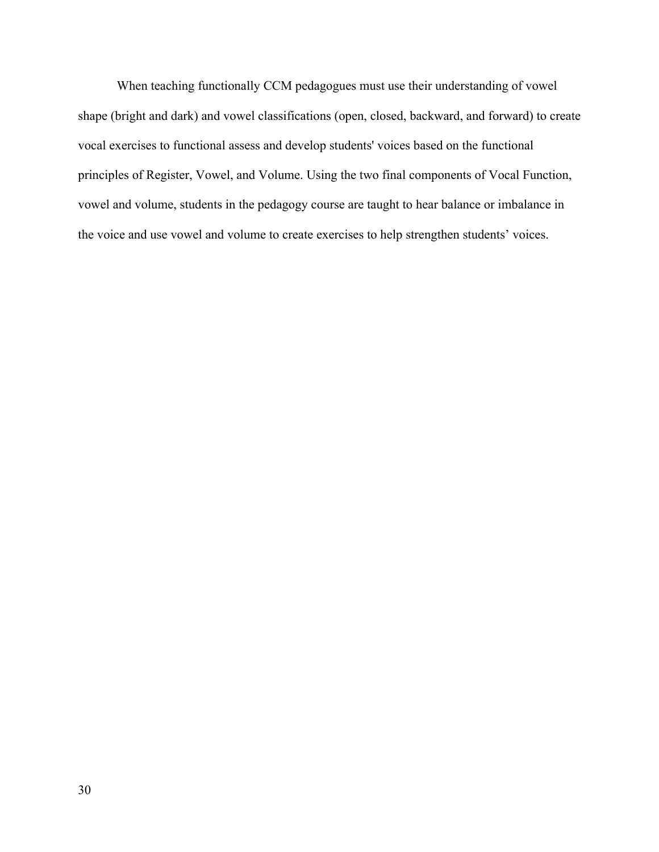When teaching functionally CCM pedagogues must use their understanding of vowel shape (bright and dark) and vowel classifications (open, closed, backward, and forward) to create vocal exercises to functional assess and develop students' voices based on the functional principles of Register, Vowel, and Volume. Using the two final components of Vocal Function, vowel and volume, students in the pedagogy course are taught to hear balance or imbalance in the voice and use vowel and volume to create exercises to help strengthen students' voices.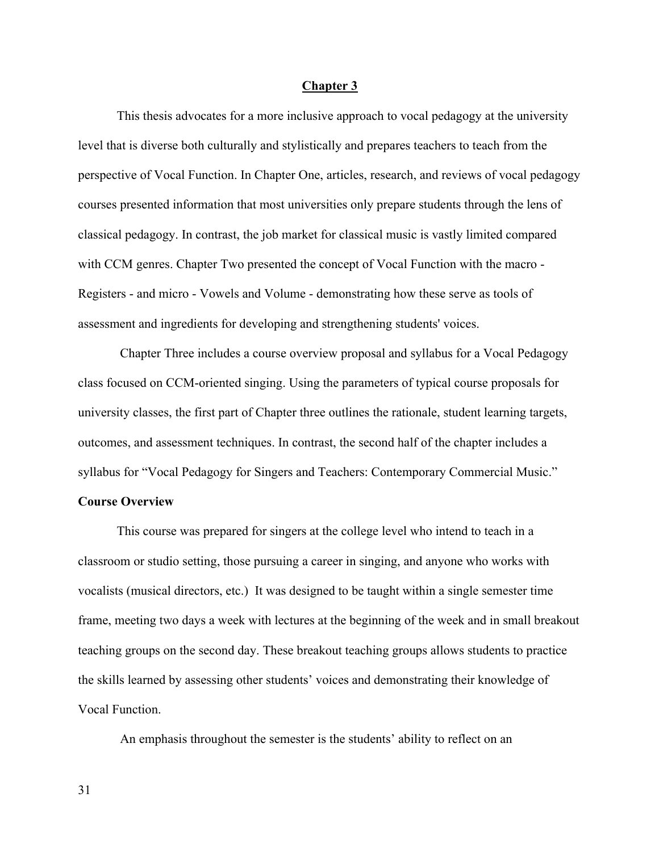#### **Chapter 3**

This thesis advocates for a more inclusive approach to vocal pedagogy at the university level that is diverse both culturally and stylistically and prepares teachers to teach from the perspective of Vocal Function. In Chapter One, articles, research, and reviews of vocal pedagogy courses presented information that most universities only prepare students through the lens of classical pedagogy. In contrast, the job market for classical music is vastly limited compared with CCM genres. Chapter Two presented the concept of Vocal Function with the macro - Registers - and micro - Vowels and Volume - demonstrating how these serve as tools of assessment and ingredients for developing and strengthening students' voices.

 Chapter Three includes a course overview proposal and syllabus for a Vocal Pedagogy class focused on CCM-oriented singing. Using the parameters of typical course proposals for university classes, the first part of Chapter three outlines the rationale, student learning targets, outcomes, and assessment techniques. In contrast, the second half of the chapter includes a syllabus for "Vocal Pedagogy for Singers and Teachers: Contemporary Commercial Music."

## **Course Overview**

This course was prepared for singers at the college level who intend to teach in a classroom or studio setting, those pursuing a career in singing, and anyone who works with vocalists (musical directors, etc.) It was designed to be taught within a single semester time frame, meeting two days a week with lectures at the beginning of the week and in small breakout teaching groups on the second day. These breakout teaching groups allows students to practice the skills learned by assessing other students' voices and demonstrating their knowledge of Vocal Function.

An emphasis throughout the semester is the students' ability to reflect on an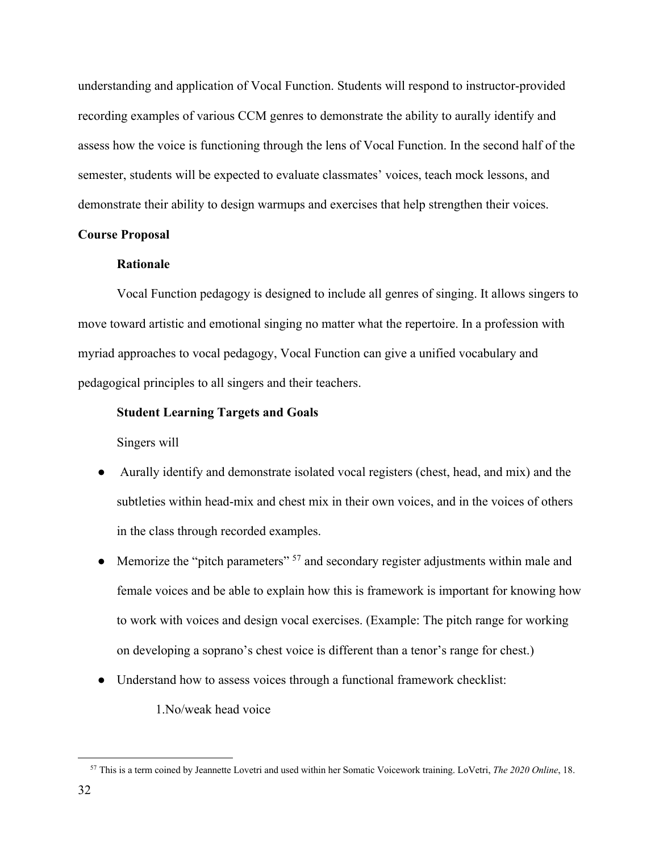understanding and application of Vocal Function. Students will respond to instructor-provided recording examples of various CCM genres to demonstrate the ability to aurally identify and assess how the voice is functioning through the lens of Vocal Function. In the second half of the semester, students will be expected to evaluate classmates' voices, teach mock lessons, and demonstrate their ability to design warmups and exercises that help strengthen their voices.

### **Course Proposal**

### **Rationale**

Vocal Function pedagogy is designed to include all genres of singing. It allows singers to move toward artistic and emotional singing no matter what the repertoire. In a profession with myriad approaches to vocal pedagogy, Vocal Function can give a unified vocabulary and pedagogical principles to all singers and their teachers.

### **Student Learning Targets and Goals**

Singers will

- Aurally identify and demonstrate isolated vocal registers (chest, head, and mix) and the subtleties within head-mix and chest mix in their own voices, and in the voices of others in the class through recorded examples.
- Memorize the "pitch parameters"  $57$  and secondary register adjustments within male and female voices and be able to explain how this is framework is important for knowing how to work with voices and design vocal exercises. (Example: The pitch range for working on developing a soprano's chest voice is different than a tenor's range for chest.)
- Understand how to assess voices through a functional framework checklist:

1.No/weak head voice

 <sup>57</sup> This is a term coined by Jeannette Lovetri and used within her Somatic Voicework training. LoVetri, *The 2020 Online*, 18.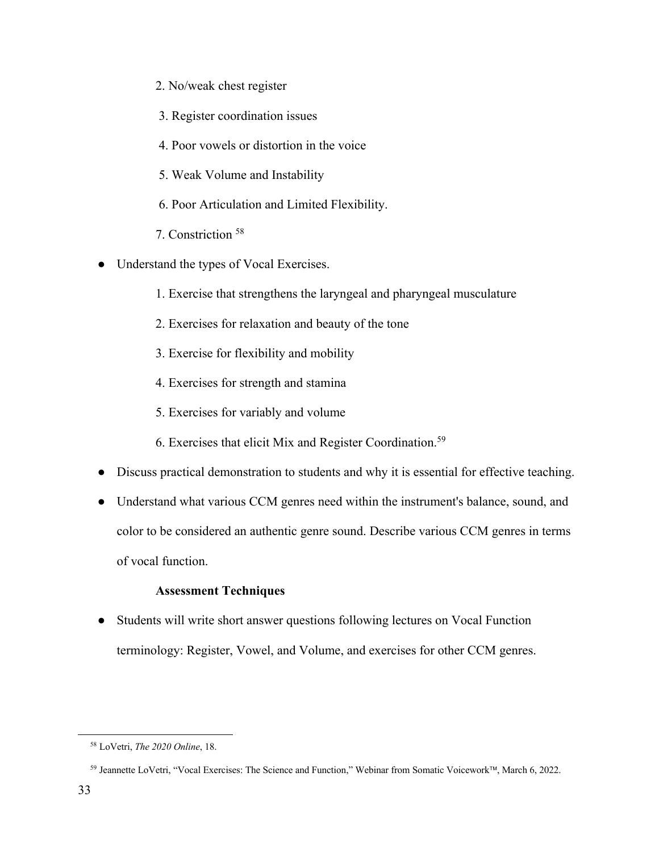- 2. No/weak chest register
- 3. Register coordination issues
- 4. Poor vowels or distortion in the voice
- 5. Weak Volume and Instability
- 6. Poor Articulation and Limited Flexibility.
- 7. Constriction <sup>58</sup>
- Understand the types of Vocal Exercises.
	- 1. Exercise that strengthens the laryngeal and pharyngeal musculature
	- 2. Exercises for relaxation and beauty of the tone
	- 3. Exercise for flexibility and mobility
	- 4. Exercises for strength and stamina
	- 5. Exercises for variably and volume
	- 6. Exercises that elicit Mix and Register Coordination. 59
- Discuss practical demonstration to students and why it is essential for effective teaching.
- Understand what various CCM genres need within the instrument's balance, sound, and color to be considered an authentic genre sound. Describe various CCM genres in terms of vocal function.

### **Assessment Techniques**

• Students will write short answer questions following lectures on Vocal Function terminology: Register, Vowel, and Volume, and exercises for other CCM genres.

 <sup>58</sup> LoVetri, *The 2020 Online*, 18.

<sup>&</sup>lt;sup>59</sup> Jeannette LoVetri, "Vocal Exercises: The Science and Function," Webinar from Somatic Voicework™, March 6, 2022.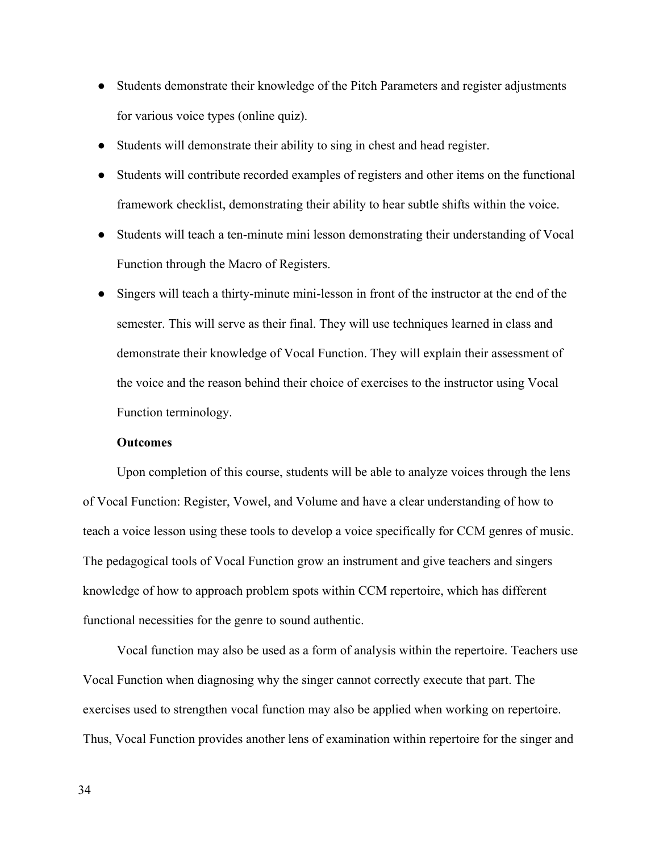- Students demonstrate their knowledge of the Pitch Parameters and register adjustments for various voice types (online quiz).
- Students will demonstrate their ability to sing in chest and head register.
- Students will contribute recorded examples of registers and other items on the functional framework checklist, demonstrating their ability to hear subtle shifts within the voice.
- Students will teach a ten-minute mini lesson demonstrating their understanding of Vocal Function through the Macro of Registers.
- Singers will teach a thirty-minute mini-lesson in front of the instructor at the end of the semester. This will serve as their final. They will use techniques learned in class and demonstrate their knowledge of Vocal Function. They will explain their assessment of the voice and the reason behind their choice of exercises to the instructor using Vocal Function terminology.

### **Outcomes**

Upon completion of this course, students will be able to analyze voices through the lens of Vocal Function: Register, Vowel, and Volume and have a clear understanding of how to teach a voice lesson using these tools to develop a voice specifically for CCM genres of music. The pedagogical tools of Vocal Function grow an instrument and give teachers and singers knowledge of how to approach problem spots within CCM repertoire, which has different functional necessities for the genre to sound authentic.

Vocal function may also be used as a form of analysis within the repertoire. Teachers use Vocal Function when diagnosing why the singer cannot correctly execute that part. The exercises used to strengthen vocal function may also be applied when working on repertoire. Thus, Vocal Function provides another lens of examination within repertoire for the singer and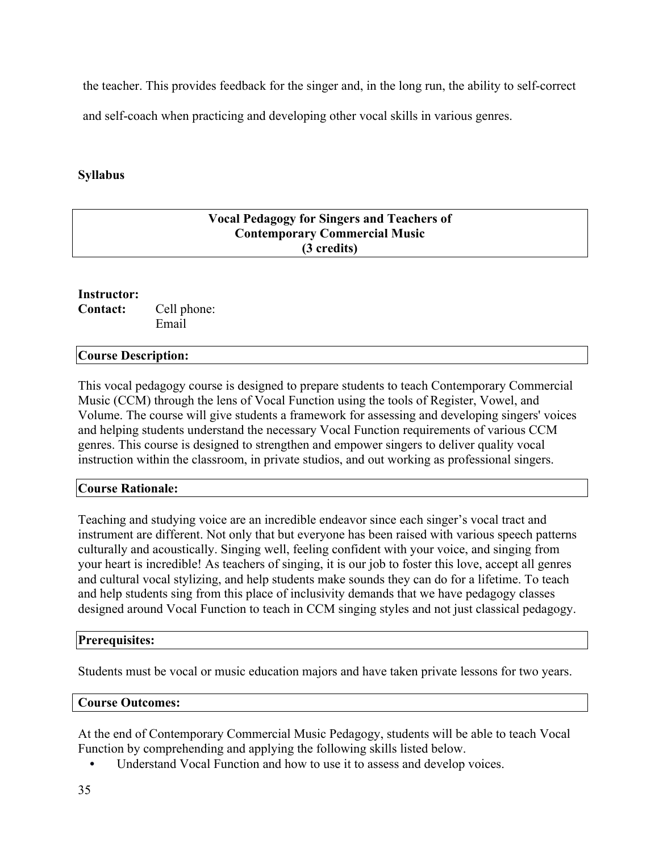the teacher. This provides feedback for the singer and, in the long run, the ability to self-correct

and self-coach when practicing and developing other vocal skills in various genres.

## **Syllabus**

| <b>Vocal Pedagogy for Singers and Teachers of</b> |  |
|---------------------------------------------------|--|
| <b>Contemporary Commercial Music</b>              |  |
| (3 credits)                                       |  |
|                                                   |  |

## **Instructor:**

**Contact:** Cell phone: Email

### **Course Description:**

This vocal pedagogy course is designed to prepare students to teach Contemporary Commercial Music (CCM) through the lens of Vocal Function using the tools of Register, Vowel, and Volume. The course will give students a framework for assessing and developing singers' voices and helping students understand the necessary Vocal Function requirements of various CCM genres. This course is designed to strengthen and empower singers to deliver quality vocal instruction within the classroom, in private studios, and out working as professional singers.

### **Course Rationale:**

Teaching and studying voice are an incredible endeavor since each singer's vocal tract and instrument are different. Not only that but everyone has been raised with various speech patterns culturally and acoustically. Singing well, feeling confident with your voice, and singing from your heart is incredible! As teachers of singing, it is our job to foster this love, accept all genres and cultural vocal stylizing, and help students make sounds they can do for a lifetime. To teach and help students sing from this place of inclusivity demands that we have pedagogy classes designed around Vocal Function to teach in CCM singing styles and not just classical pedagogy.

### **Prerequisites:**

Students must be vocal or music education majors and have taken private lessons for two years.

### **Course Outcomes:**

At the end of Contemporary Commercial Music Pedagogy, students will be able to teach Vocal Function by comprehending and applying the following skills listed below.

• Understand Vocal Function and how to use it to assess and develop voices.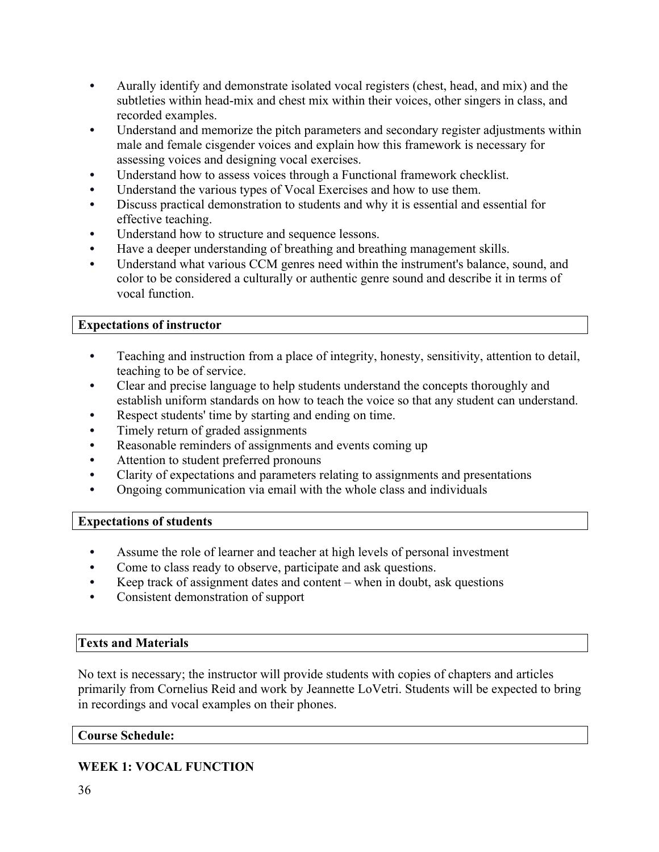- Aurally identify and demonstrate isolated vocal registers (chest, head, and mix) and the subtleties within head-mix and chest mix within their voices, other singers in class, and recorded examples.
- Understand and memorize the pitch parameters and secondary register adjustments within male and female cisgender voices and explain how this framework is necessary for assessing voices and designing vocal exercises.
- Understand how to assess voices through a Functional framework checklist.
- Understand the various types of Vocal Exercises and how to use them.
- Discuss practical demonstration to students and why it is essential and essential for effective teaching.
- Understand how to structure and sequence lessons.
- Have a deeper understanding of breathing and breathing management skills.
- Understand what various CCM genres need within the instrument's balance, sound, and color to be considered a culturally or authentic genre sound and describe it in terms of vocal function.

## **Expectations of instructor**

- Teaching and instruction from a place of integrity, honesty, sensitivity, attention to detail, teaching to be of service.
- Clear and precise language to help students understand the concepts thoroughly and establish uniform standards on how to teach the voice so that any student can understand.
- Respect students' time by starting and ending on time.
- Timely return of graded assignments
- Reasonable reminders of assignments and events coming up
- Attention to student preferred pronouns
- Clarity of expectations and parameters relating to assignments and presentations
- Ongoing communication via email with the whole class and individuals

## **Expectations of students**

- Assume the role of learner and teacher at high levels of personal investment
- Come to class ready to observe, participate and ask questions.
- Keep track of assignment dates and content  $-$  when in doubt, ask questions
- Consistent demonstration of support

## **Texts and Materials**

No text is necessary; the instructor will provide students with copies of chapters and articles primarily from Cornelius Reid and work by Jeannette LoVetri. Students will be expected to bring in recordings and vocal examples on their phones.

## **Course Schedule:**

## **WEEK 1: VOCAL FUNCTION**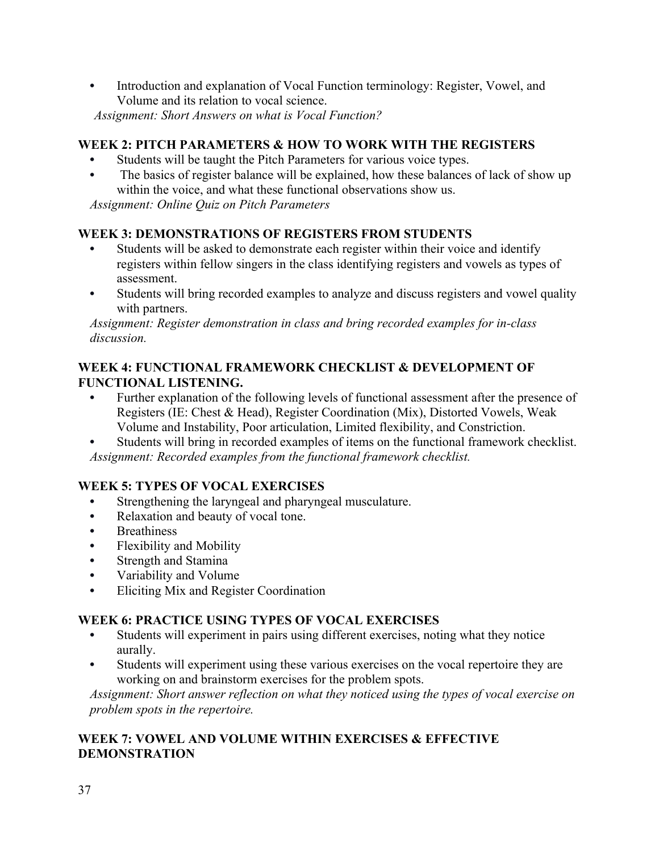• Introduction and explanation of Vocal Function terminology: Register, Vowel, and Volume and its relation to vocal science. *Assignment: Short Answers on what is Vocal Function?* 

## **WEEK 2: PITCH PARAMETERS & HOW TO WORK WITH THE REGISTERS**

- Students will be taught the Pitch Parameters for various voice types.
- The basics of register balance will be explained, how these balances of lack of show up within the voice, and what these functional observations show us.

*Assignment: Online Quiz on Pitch Parameters*

## **WEEK 3: DEMONSTRATIONS OF REGISTERS FROM STUDENTS**

- Students will be asked to demonstrate each register within their voice and identify registers within fellow singers in the class identifying registers and vowels as types of assessment.
- Students will bring recorded examples to analyze and discuss registers and vowel quality with partners.

*Assignment: Register demonstration in class and bring recorded examples for in-class discussion.* 

## **WEEK 4: FUNCTIONAL FRAMEWORK CHECKLIST & DEVELOPMENT OF FUNCTIONAL LISTENING.**

- Further explanation of the following levels of functional assessment after the presence of Registers (IE: Chest & Head), Register Coordination (Mix), Distorted Vowels, Weak Volume and Instability, Poor articulation, Limited flexibility, and Constriction.
- Students will bring in recorded examples of items on the functional framework checklist. *Assignment: Recorded examples from the functional framework checklist.*

## **WEEK 5: TYPES OF VOCAL EXERCISES**

- Strengthening the laryngeal and pharyngeal musculature.
- Relaxation and beauty of vocal tone.
- Breathiness
- Flexibility and Mobility
- Strength and Stamina
- Variability and Volume
- Eliciting Mix and Register Coordination

### **WEEK 6: PRACTICE USING TYPES OF VOCAL EXERCISES**

- Students will experiment in pairs using different exercises, noting what they notice aurally.
- Students will experiment using these various exercises on the vocal repertoire they are working on and brainstorm exercises for the problem spots.

*Assignment: Short answer reflection on what they noticed using the types of vocal exercise on problem spots in the repertoire.* 

## **WEEK 7: VOWEL AND VOLUME WITHIN EXERCISES & EFFECTIVE DEMONSTRATION**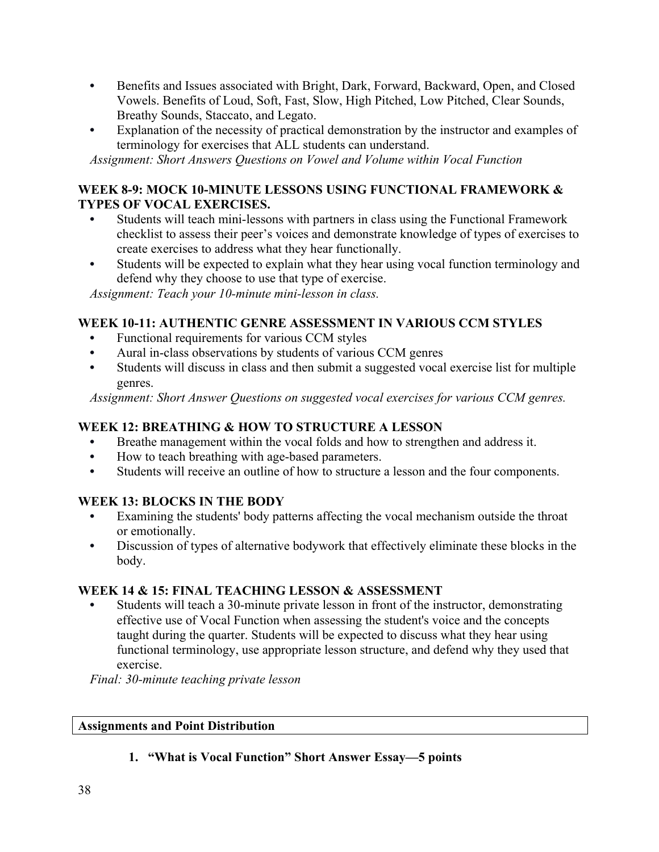- Benefits and Issues associated with Bright, Dark, Forward, Backward, Open, and Closed Vowels. Benefits of Loud, Soft, Fast, Slow, High Pitched, Low Pitched, Clear Sounds, Breathy Sounds, Staccato, and Legato.
- Explanation of the necessity of practical demonstration by the instructor and examples of terminology for exercises that ALL students can understand.

*Assignment: Short Answers Questions on Vowel and Volume within Vocal Function* 

## **WEEK 8-9: MOCK 10-MINUTE LESSONS USING FUNCTIONAL FRAMEWORK & TYPES OF VOCAL EXERCISES.**

- Students will teach mini-lessons with partners in class using the Functional Framework checklist to assess their peer's voices and demonstrate knowledge of types of exercises to create exercises to address what they hear functionally.
- Students will be expected to explain what they hear using vocal function terminology and defend why they choose to use that type of exercise.

*Assignment: Teach your 10-minute mini-lesson in class.* 

## **WEEK 10-11: AUTHENTIC GENRE ASSESSMENT IN VARIOUS CCM STYLES**

- Functional requirements for various CCM styles
- Aural in-class observations by students of various CCM genres
- Students will discuss in class and then submit a suggested vocal exercise list for multiple genres.

*Assignment: Short Answer Questions on suggested vocal exercises for various CCM genres.* 

## **WEEK 12: BREATHING & HOW TO STRUCTURE A LESSON**

- Breathe management within the vocal folds and how to strengthen and address it.
- How to teach breathing with age-based parameters.
- Students will receive an outline of how to structure a lesson and the four components.

## **WEEK 13: BLOCKS IN THE BODY**

- Examining the students' body patterns affecting the vocal mechanism outside the throat or emotionally.
- Discussion of types of alternative bodywork that effectively eliminate these blocks in the body.

## **WEEK 14 & 15: FINAL TEACHING LESSON & ASSESSMENT**

• Students will teach a 30-minute private lesson in front of the instructor, demonstrating effective use of Vocal Function when assessing the student's voice and the concepts taught during the quarter. Students will be expected to discuss what they hear using functional terminology, use appropriate lesson structure, and defend why they used that exercise.

*Final: 30-minute teaching private lesson* 

## **Assignments and Point Distribution**

**1. "What is Vocal Function" Short Answer Essay—5 points**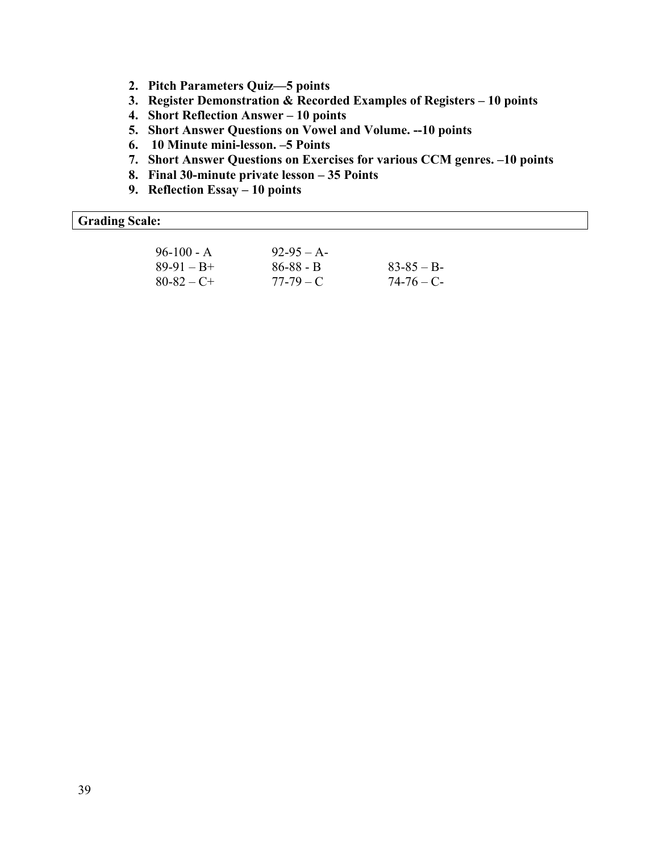- **2. Pitch Parameters Quiz—5 points**
- **3. Register Demonstration & Recorded Examples of Registers – 10 points**
- **4. Short Reflection Answer – 10 points**
- **5. Short Answer Questions on Vowel and Volume. --10 points**
- **6. 10 Minute mini-lesson. –5 Points**
- **7. Short Answer Questions on Exercises for various CCM genres. –10 points**
- **8. Final 30-minute private lesson – 35 Points**
- **9. Reflection Essay – 10 points**

## **Grading Scale:**

| $96-100 - A$    | $92-95 - A-$  |               |
|-----------------|---------------|---------------|
| $89-91 - B +$   | $86 - 88 - B$ | $83 - 85 - B$ |
| $80 - 82 - C +$ | $77-79-C$     | $74 - 76 - C$ |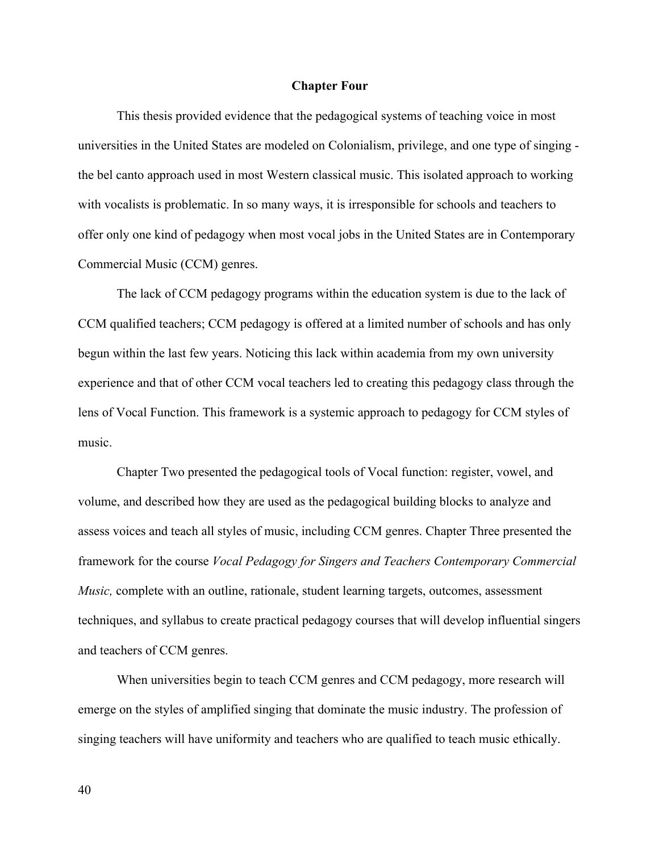#### **Chapter Four**

This thesis provided evidence that the pedagogical systems of teaching voice in most universities in the United States are modeled on Colonialism, privilege, and one type of singing the bel canto approach used in most Western classical music. This isolated approach to working with vocalists is problematic. In so many ways, it is irresponsible for schools and teachers to offer only one kind of pedagogy when most vocal jobs in the United States are in Contemporary Commercial Music (CCM) genres.

The lack of CCM pedagogy programs within the education system is due to the lack of CCM qualified teachers; CCM pedagogy is offered at a limited number of schools and has only begun within the last few years. Noticing this lack within academia from my own university experience and that of other CCM vocal teachers led to creating this pedagogy class through the lens of Vocal Function. This framework is a systemic approach to pedagogy for CCM styles of music.

Chapter Two presented the pedagogical tools of Vocal function: register, vowel, and volume, and described how they are used as the pedagogical building blocks to analyze and assess voices and teach all styles of music, including CCM genres. Chapter Three presented the framework for the course *Vocal Pedagogy for Singers and Teachers Contemporary Commercial Music*, complete with an outline, rationale, student learning targets, outcomes, assessment techniques, and syllabus to create practical pedagogy courses that will develop influential singers and teachers of CCM genres.

When universities begin to teach CCM genres and CCM pedagogy, more research will emerge on the styles of amplified singing that dominate the music industry. The profession of singing teachers will have uniformity and teachers who are qualified to teach music ethically.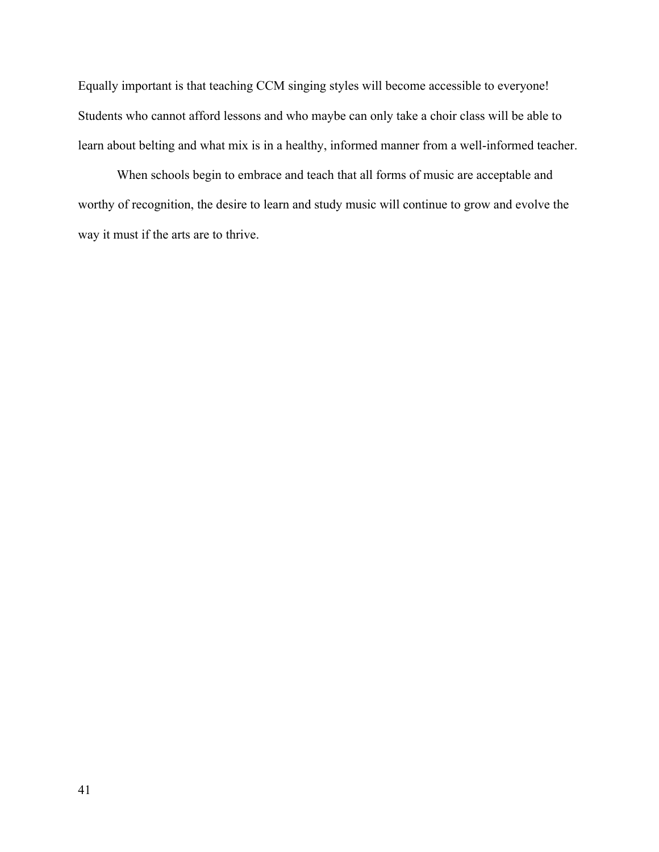Equally important is that teaching CCM singing styles will become accessible to everyone! Students who cannot afford lessons and who maybe can only take a choir class will be able to learn about belting and what mix is in a healthy, informed manner from a well-informed teacher.

When schools begin to embrace and teach that all forms of music are acceptable and worthy of recognition, the desire to learn and study music will continue to grow and evolve the way it must if the arts are to thrive.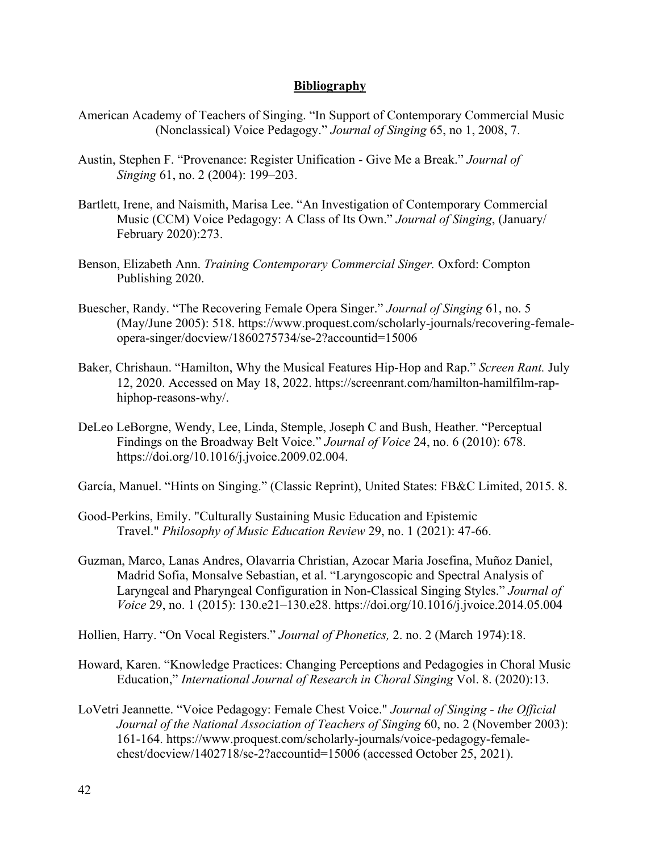### **Bibliography**

- American Academy of Teachers of Singing. "In Support of Contemporary Commercial Music (Nonclassical) Voice Pedagogy." *Journal of Singing* 65, no 1, 2008, 7.
- Austin, Stephen F. "Provenance: Register Unification Give Me a Break." *Journal of Singing* 61, no. 2 (2004): 199–203.
- Bartlett, Irene, and Naismith, Marisa Lee. "An Investigation of Contemporary Commercial Music (CCM) Voice Pedagogy: A Class of Its Own." *Journal of Singing*, (January/ February 2020):273.
- Benson, Elizabeth Ann. *Training Contemporary Commercial Singer.* Oxford: Compton Publishing 2020.
- Buescher, Randy. "The Recovering Female Opera Singer." *Journal of Singing* 61, no. 5 (May/June 2005): 518. https://www.proquest.com/scholarly-journals/recovering-femaleopera-singer/docview/1860275734/se-2?accountid=15006
- Baker, Chrishaun. "Hamilton, Why the Musical Features Hip-Hop and Rap." *Screen Rant.* July 12, 2020. Accessed on May 18, 2022. https://screenrant.com/hamilton-hamilfilm-raphiphop-reasons-why/.
- DeLeo LeBorgne, Wendy, Lee, Linda, Stemple, Joseph C and Bush, Heather. "Perceptual Findings on the Broadway Belt Voice." *Journal of Voice* 24, no. 6 (2010): 678. https://doi.org/10.1016/j.jvoice.2009.02.004.
- García, Manuel. "Hints on Singing." (Classic Reprint), United States: FB&C Limited, 2015. 8.
- Good-Perkins, Emily. "Culturally Sustaining Music Education and Epistemic Travel." *Philosophy of Music Education Review* 29, no. 1 (2021): 47-66.
- Guzman, Marco, Lanas Andres, Olavarria Christian, Azocar Maria Josefina, Muñoz Daniel, Madrid Sofia, Monsalve Sebastian, et al. "Laryngoscopic and Spectral Analysis of Laryngeal and Pharyngeal Configuration in Non-Classical Singing Styles." *Journal of Voice* 29, no. 1 (2015): 130.e21–130.e28. https://doi.org/10.1016/j.jvoice.2014.05.004
- Hollien, Harry. "On Vocal Registers." *Journal of Phonetics,* 2. no. 2 (March 1974):18.
- Howard, Karen. "Knowledge Practices: Changing Perceptions and Pedagogies in Choral Music Education," *International Journal of Research in Choral Singing* Vol. 8. (2020):13.
- LoVetri Jeannette. "Voice Pedagogy: Female Chest Voice." *Journal of Singing - the Official Journal of the National Association of Teachers of Singing* 60, no. 2 (November 2003): 161-164. https://www.proquest.com/scholarly-journals/voice-pedagogy-femalechest/docview/1402718/se-2?accountid=15006 (accessed October 25, 2021).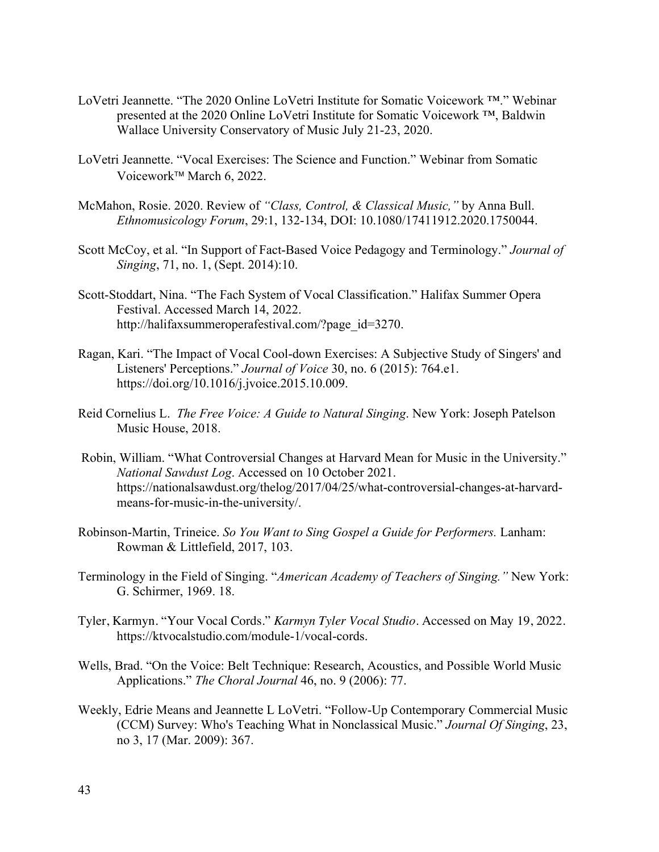- LoVetri Jeannette. "The 2020 Online LoVetri Institute for Somatic Voicework ™." Webinar presented at the 2020 Online LoVetri Institute for Somatic Voicework ™, Baldwin Wallace University Conservatory of Music July 21-23, 2020.
- LoVetri Jeannette. "Vocal Exercises: The Science and Function." Webinar from Somatic Voicework<sup>™</sup> March 6, 2022.
- McMahon, Rosie. 2020. Review of *"Class, Control, & Classical Music,"* by Anna Bull. *Ethnomusicology Forum*, 29:1, 132-134, DOI: 10.1080/17411912.2020.1750044.
- Scott McCoy, et al. "In Support of Fact-Based Voice Pedagogy and Terminology." *Journal of Singing*, 71, no. 1, (Sept. 2014):10.
- Scott-Stoddart, Nina. "The Fach System of Vocal Classification." Halifax Summer Opera Festival. Accessed March 14, 2022. http://halifaxsummeroperafestival.com/?page\_id=3270.
- Ragan, Kari. "The Impact of Vocal Cool-down Exercises: A Subjective Study of Singers' and Listeners' Perceptions." *Journal of Voice* 30, no. 6 (2015): 764.e1. https://doi.org/10.1016/j.jvoice.2015.10.009.
- Reid Cornelius L. *The Free Voice: A Guide to Natural Singing*. New York: Joseph Patelson Music House, 2018.
- Robin, William. "What Controversial Changes at Harvard Mean for Music in the University." *National Sawdust Log*. Accessed on 10 October 2021. https://nationalsawdust.org/thelog/2017/04/25/what-controversial-changes-at-harvardmeans-for-music-in-the-university/.
- Robinson-Martin, Trineice. *So You Want to Sing Gospel a Guide for Performers.* Lanham: Rowman & Littlefield, 2017, 103.
- Terminology in the Field of Singing. "*American Academy of Teachers of Singing."* New York: G. Schirmer, 1969. 18.
- Tyler, Karmyn. "Your Vocal Cords." *Karmyn Tyler Vocal Studio*. Accessed on May 19, 2022. https://ktvocalstudio.com/module-1/vocal-cords.
- Wells, Brad. "On the Voice: Belt Technique: Research, Acoustics, and Possible World Music Applications." *The Choral Journal* 46, no. 9 (2006): 77.
- Weekly, Edrie Means and Jeannette L LoVetri. "Follow-Up Contemporary Commercial Music (CCM) Survey: Who's Teaching What in Nonclassical Music." *Journal Of Singing*, 23, no 3, 17 (Mar. 2009): 367.